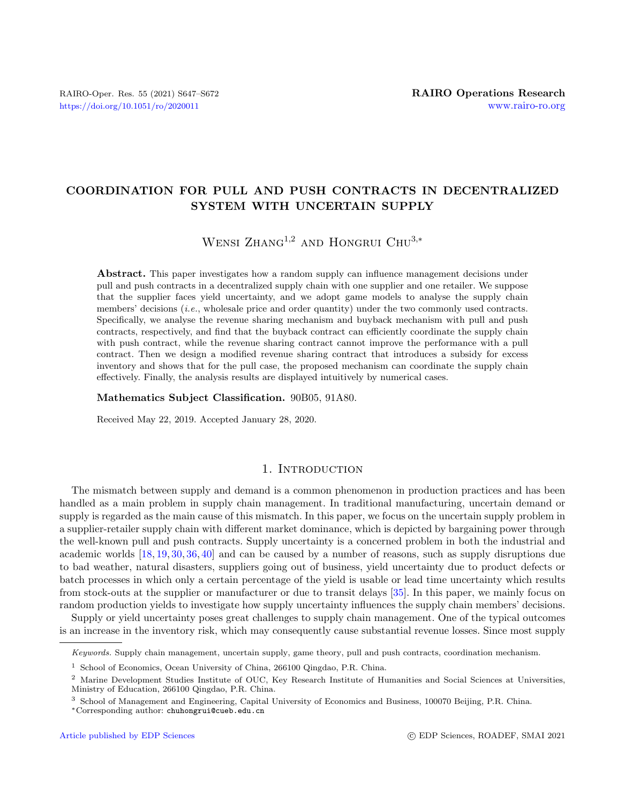# COORDINATION FOR PULL AND PUSH CONTRACTS IN DECENTRALIZED SYSTEM WITH UNCERTAIN SUPPLY

# WENSI ZHANG<sup>1,2</sup> AND HONGRUI CHU<sup>3,\*</sup>

Abstract. This paper investigates how a random supply can influence management decisions under pull and push contracts in a decentralized supply chain with one supplier and one retailer. We suppose that the supplier faces yield uncertainty, and we adopt game models to analyse the supply chain members' decisions *(i.e., wholesale price and order quantity)* under the two commonly used contracts. Specifically, we analyse the revenue sharing mechanism and buyback mechanism with pull and push contracts, respectively, and find that the buyback contract can efficiently coordinate the supply chain with push contract, while the revenue sharing contract cannot improve the performance with a pull contract. Then we design a modified revenue sharing contract that introduces a subsidy for excess inventory and shows that for the pull case, the proposed mechanism can coordinate the supply chain effectively. Finally, the analysis results are displayed intuitively by numerical cases.

#### Mathematics Subject Classification. 90B05, 91A80.

Received May 22, 2019. Accepted January 28, 2020.

## 1. Introduction

The mismatch between supply and demand is a common phenomenon in production practices and has been handled as a main problem in supply chain management. In traditional manufacturing, uncertain demand or supply is regarded as the main cause of this mismatch. In this paper, we focus on the uncertain supply problem in a supplier-retailer supply chain with different market dominance, which is depicted by bargaining power through the well-known pull and push contracts. Supply uncertainty is a concerned problem in both the industrial and academic worlds [\[18,](#page-25-0) [19,](#page-25-1) [30,](#page-25-2) [36,](#page-25-3) [40\]](#page-25-4) and can be caused by a number of reasons, such as supply disruptions due to bad weather, natural disasters, suppliers going out of business, yield uncertainty due to product defects or batch processes in which only a certain percentage of the yield is usable or lead time uncertainty which results from stock-outs at the supplier or manufacturer or due to transit delays [\[35\]](#page-25-5). In this paper, we mainly focus on random production yields to investigate how supply uncertainty influences the supply chain members' decisions.

Supply or yield uncertainty poses great challenges to supply chain management. One of the typical outcomes is an increase in the inventory risk, which may consequently cause substantial revenue losses. Since most supply

Keywords. Supply chain management, uncertain supply, game theory, pull and push contracts, coordination mechanism.

<sup>1</sup> School of Economics, Ocean University of China, 266100 Qingdao, P.R. China.

<sup>&</sup>lt;sup>2</sup> Marine Development Studies Institute of OUC, Key Research Institute of Humanities and Social Sciences at Universities, Ministry of Education, 266100 Qingdao, P.R. China.

<sup>3</sup> School of Management and Engineering, Capital University of Economics and Business, 100070 Beijing, P.R. China.

<sup>∗</sup>Corresponding author: [chuhongrui@cueb.edu.cn](mailto:chuhongrui@cueb.edu.cn)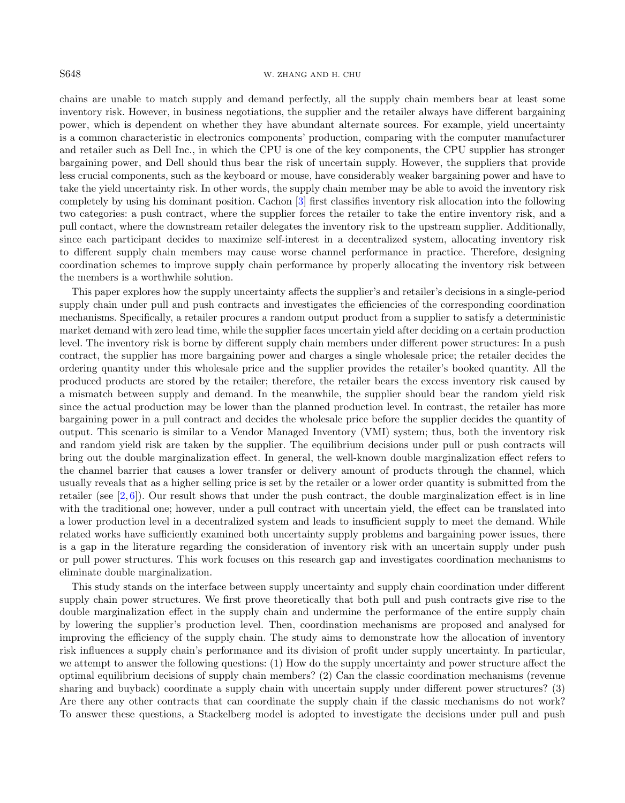#### S648 W. ZHANG AND H. CHU

chains are unable to match supply and demand perfectly, all the supply chain members bear at least some inventory risk. However, in business negotiations, the supplier and the retailer always have different bargaining power, which is dependent on whether they have abundant alternate sources. For example, yield uncertainty is a common characteristic in electronics components' production, comparing with the computer manufacturer and retailer such as Dell Inc., in which the CPU is one of the key components, the CPU supplier has stronger bargaining power, and Dell should thus bear the risk of uncertain supply. However, the suppliers that provide less crucial components, such as the keyboard or mouse, have considerably weaker bargaining power and have to take the yield uncertainty risk. In other words, the supply chain member may be able to avoid the inventory risk completely by using his dominant position. Cachon [\[3\]](#page-24-0) first classifies inventory risk allocation into the following two categories: a push contract, where the supplier forces the retailer to take the entire inventory risk, and a pull contact, where the downstream retailer delegates the inventory risk to the upstream supplier. Additionally, since each participant decides to maximize self-interest in a decentralized system, allocating inventory risk to different supply chain members may cause worse channel performance in practice. Therefore, designing coordination schemes to improve supply chain performance by properly allocating the inventory risk between the members is a worthwhile solution.

This paper explores how the supply uncertainty affects the supplier's and retailer's decisions in a single-period supply chain under pull and push contracts and investigates the efficiencies of the corresponding coordination mechanisms. Specifically, a retailer procures a random output product from a supplier to satisfy a deterministic market demand with zero lead time, while the supplier faces uncertain yield after deciding on a certain production level. The inventory risk is borne by different supply chain members under different power structures: In a push contract, the supplier has more bargaining power and charges a single wholesale price; the retailer decides the ordering quantity under this wholesale price and the supplier provides the retailer's booked quantity. All the produced products are stored by the retailer; therefore, the retailer bears the excess inventory risk caused by a mismatch between supply and demand. In the meanwhile, the supplier should bear the random yield risk since the actual production may be lower than the planned production level. In contrast, the retailer has more bargaining power in a pull contract and decides the wholesale price before the supplier decides the quantity of output. This scenario is similar to a Vendor Managed Inventory (VMI) system; thus, both the inventory risk and random yield risk are taken by the supplier. The equilibrium decisions under pull or push contracts will bring out the double marginalization effect. In general, the well-known double marginalization effect refers to the channel barrier that causes a lower transfer or delivery amount of products through the channel, which usually reveals that as a higher selling price is set by the retailer or a lower order quantity is submitted from the retailer (see  $[2, 6]$  $[2, 6]$  $[2, 6]$ ). Our result shows that under the push contract, the double marginalization effect is in line with the traditional one; however, under a pull contract with uncertain yield, the effect can be translated into a lower production level in a decentralized system and leads to insufficient supply to meet the demand. While related works have sufficiently examined both uncertainty supply problems and bargaining power issues, there is a gap in the literature regarding the consideration of inventory risk with an uncertain supply under push or pull power structures. This work focuses on this research gap and investigates coordination mechanisms to eliminate double marginalization.

This study stands on the interface between supply uncertainty and supply chain coordination under different supply chain power structures. We first prove theoretically that both pull and push contracts give rise to the double marginalization effect in the supply chain and undermine the performance of the entire supply chain by lowering the supplier's production level. Then, coordination mechanisms are proposed and analysed for improving the efficiency of the supply chain. The study aims to demonstrate how the allocation of inventory risk influences a supply chain's performance and its division of profit under supply uncertainty. In particular, we attempt to answer the following questions: (1) How do the supply uncertainty and power structure affect the optimal equilibrium decisions of supply chain members? (2) Can the classic coordination mechanisms (revenue sharing and buyback) coordinate a supply chain with uncertain supply under different power structures? (3) Are there any other contracts that can coordinate the supply chain if the classic mechanisms do not work? To answer these questions, a Stackelberg model is adopted to investigate the decisions under pull and push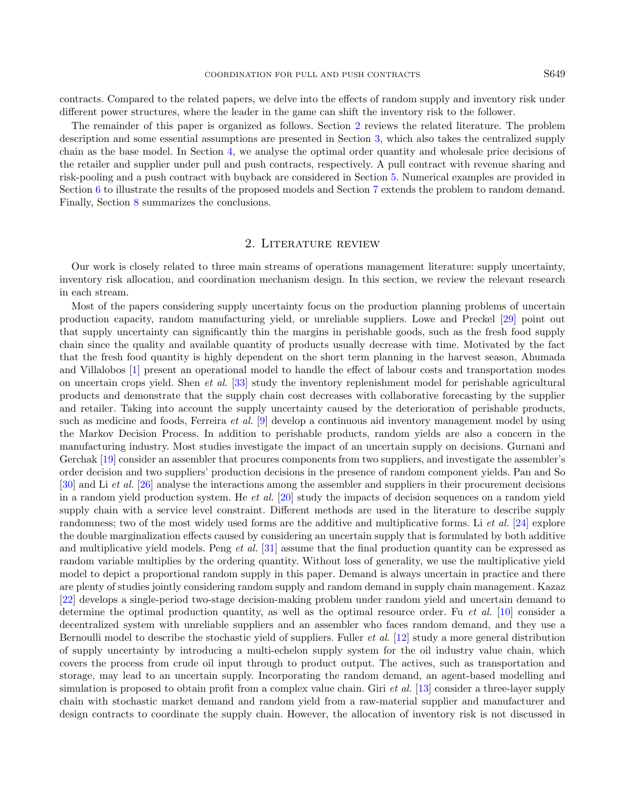contracts. Compared to the related papers, we delve into the effects of random supply and inventory risk under different power structures, where the leader in the game can shift the inventory risk to the follower.

The remainder of this paper is organized as follows. Section [2](#page-2-0) reviews the related literature. The problem description and some essential assumptions are presented in Section [3,](#page-4-0) which also takes the centralized supply chain as the base model. In Section [4,](#page-5-0) we analyse the optimal order quantity and wholesale price decisions of the retailer and supplier under pull and push contracts, respectively. A pull contract with revenue sharing and risk-pooling and a push contract with buyback are considered in Section [5.](#page-9-0) Numerical examples are provided in Section [6](#page-12-0) to illustrate the results of the proposed models and Section [7](#page-14-0) extends the problem to random demand. Finally, Section [8](#page-18-0) summarizes the conclusions.

## 2. Literature review

<span id="page-2-0"></span>Our work is closely related to three main streams of operations management literature: supply uncertainty, inventory risk allocation, and coordination mechanism design. In this section, we review the relevant research in each stream.

Most of the papers considering supply uncertainty focus on the production planning problems of uncertain production capacity, random manufacturing yield, or unreliable suppliers. Lowe and Preckel [\[29\]](#page-25-6) point out that supply uncertainty can significantly thin the margins in perishable goods, such as the fresh food supply chain since the quality and available quantity of products usually decrease with time. Motivated by the fact that the fresh food quantity is highly dependent on the short term planning in the harvest season, Ahumada and Villalobos [\[1\]](#page-24-3) present an operational model to handle the effect of labour costs and transportation modes on uncertain crops yield. Shen et al. [\[33\]](#page-25-7) study the inventory replenishment model for perishable agricultural products and demonstrate that the supply chain cost decreases with collaborative forecasting by the supplier and retailer. Taking into account the supply uncertainty caused by the deterioration of perishable products, such as medicine and foods, Ferreira et al. [\[9\]](#page-24-4) develop a continuous aid inventory management model by using the Markov Decision Process. In addition to perishable products, random yields are also a concern in the manufacturing industry. Most studies investigate the impact of an uncertain supply on decisions. Gurnani and Gerchak [\[19\]](#page-25-1) consider an assembler that procures components from two suppliers, and investigate the assembler's order decision and two suppliers' production decisions in the presence of random component yields. Pan and So [\[30\]](#page-25-2) and Li et al. [\[26\]](#page-25-8) analyse the interactions among the assembler and suppliers in their procurement decisions in a random yield production system. He et al.  $[20]$  study the impacts of decision sequences on a random yield supply chain with a service level constraint. Different methods are used in the literature to describe supply randomness; two of the most widely used forms are the additive and multiplicative forms. Li et al. [\[24\]](#page-25-10) explore the double marginalization effects caused by considering an uncertain supply that is formulated by both additive and multiplicative yield models. Peng et al. [\[31\]](#page-25-11) assume that the final production quantity can be expressed as random variable multiplies by the ordering quantity. Without loss of generality, we use the multiplicative yield model to depict a proportional random supply in this paper. Demand is always uncertain in practice and there are plenty of studies jointly considering random supply and random demand in supply chain management. Kazaz [\[22\]](#page-25-12) develops a single-period two-stage decision-making problem under random yield and uncertain demand to determine the optimal production quantity, as well as the optimal resource order. Fu et al. [\[10\]](#page-24-5) consider a decentralized system with unreliable suppliers and an assembler who faces random demand, and they use a Bernoulli model to describe the stochastic yield of suppliers. Fuller et al. [\[12\]](#page-24-6) study a more general distribution of supply uncertainty by introducing a multi-echelon supply system for the oil industry value chain, which covers the process from crude oil input through to product output. The actives, such as transportation and storage, may lead to an uncertain supply. Incorporating the random demand, an agent-based modelling and simulation is proposed to obtain profit from a complex value chain. Giri *et al.* [\[13\]](#page-24-7) consider a three-layer supply chain with stochastic market demand and random yield from a raw-material supplier and manufacturer and design contracts to coordinate the supply chain. However, the allocation of inventory risk is not discussed in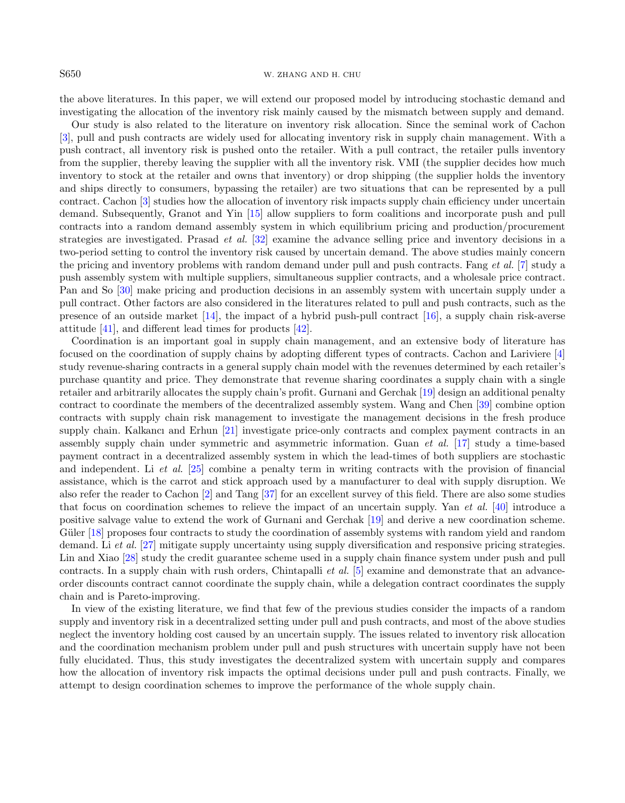#### S650 W. ZHANG AND H. CHU

the above literatures. In this paper, we will extend our proposed model by introducing stochastic demand and investigating the allocation of the inventory risk mainly caused by the mismatch between supply and demand.

Our study is also related to the literature on inventory risk allocation. Since the seminal work of Cachon [\[3\]](#page-24-0), pull and push contracts are widely used for allocating inventory risk in supply chain management. With a push contract, all inventory risk is pushed onto the retailer. With a pull contract, the retailer pulls inventory from the supplier, thereby leaving the supplier with all the inventory risk. VMI (the supplier decides how much inventory to stock at the retailer and owns that inventory) or drop shipping (the supplier holds the inventory and ships directly to consumers, bypassing the retailer) are two situations that can be represented by a pull contract. Cachon [\[3\]](#page-24-0) studies how the allocation of inventory risk impacts supply chain efficiency under uncertain demand. Subsequently, Granot and Yin [\[15\]](#page-25-13) allow suppliers to form coalitions and incorporate push and pull contracts into a random demand assembly system in which equilibrium pricing and production/procurement strategies are investigated. Prasad et al. [\[32\]](#page-25-14) examine the advance selling price and inventory decisions in a two-period setting to control the inventory risk caused by uncertain demand. The above studies mainly concern the pricing and inventory problems with random demand under pull and push contracts. Fang et al. [\[7\]](#page-24-8) study a push assembly system with multiple suppliers, simultaneous supplier contracts, and a wholesale price contract. Pan and So [\[30\]](#page-25-2) make pricing and production decisions in an assembly system with uncertain supply under a pull contract. Other factors are also considered in the literatures related to pull and push contracts, such as the presence of an outside market [\[14\]](#page-25-15), the impact of a hybrid push-pull contract [\[16\]](#page-25-16), a supply chain risk-averse attitude [\[41\]](#page-25-17), and different lead times for products [\[42\]](#page-25-18).

Coordination is an important goal in supply chain management, and an extensive body of literature has focused on the coordination of supply chains by adopting different types of contracts. Cachon and Lariviere [\[4\]](#page-24-9) study revenue-sharing contracts in a general supply chain model with the revenues determined by each retailer's purchase quantity and price. They demonstrate that revenue sharing coordinates a supply chain with a single retailer and arbitrarily allocates the supply chain's profit. Gurnani and Gerchak [\[19\]](#page-25-1) design an additional penalty contract to coordinate the members of the decentralized assembly system. Wang and Chen [\[39\]](#page-25-19) combine option contracts with supply chain risk management to investigate the management decisions in the fresh produce supply chain. Kalkancı and Erhun [\[21\]](#page-25-20) investigate price-only contracts and complex payment contracts in an assembly supply chain under symmetric and asymmetric information. Guan et al. [\[17\]](#page-25-21) study a time-based payment contract in a decentralized assembly system in which the lead-times of both suppliers are stochastic and independent. Li et al. [\[25\]](#page-25-22) combine a penalty term in writing contracts with the provision of financial assistance, which is the carrot and stick approach used by a manufacturer to deal with supply disruption. We also refer the reader to Cachon [\[2\]](#page-24-1) and Tang [\[37\]](#page-25-23) for an excellent survey of this field. There are also some studies that focus on coordination schemes to relieve the impact of an uncertain supply. Yan et al. [\[40\]](#page-25-4) introduce a positive salvage value to extend the work of Gurnani and Gerchak [\[19\]](#page-25-1) and derive a new coordination scheme. Güler [\[18\]](#page-25-0) proposes four contracts to study the coordination of assembly systems with random yield and random demand. Li et al. [\[27\]](#page-25-24) mitigate supply uncertainty using supply diversification and responsive pricing strategies. Lin and Xiao [\[28\]](#page-25-25) study the credit guarantee scheme used in a supply chain finance system under push and pull contracts. In a supply chain with rush orders, Chintapalli et al. [\[5\]](#page-24-10) examine and demonstrate that an advanceorder discounts contract cannot coordinate the supply chain, while a delegation contract coordinates the supply chain and is Pareto-improving.

In view of the existing literature, we find that few of the previous studies consider the impacts of a random supply and inventory risk in a decentralized setting under pull and push contracts, and most of the above studies neglect the inventory holding cost caused by an uncertain supply. The issues related to inventory risk allocation and the coordination mechanism problem under pull and push structures with uncertain supply have not been fully elucidated. Thus, this study investigates the decentralized system with uncertain supply and compares how the allocation of inventory risk impacts the optimal decisions under pull and push contracts. Finally, we attempt to design coordination schemes to improve the performance of the whole supply chain.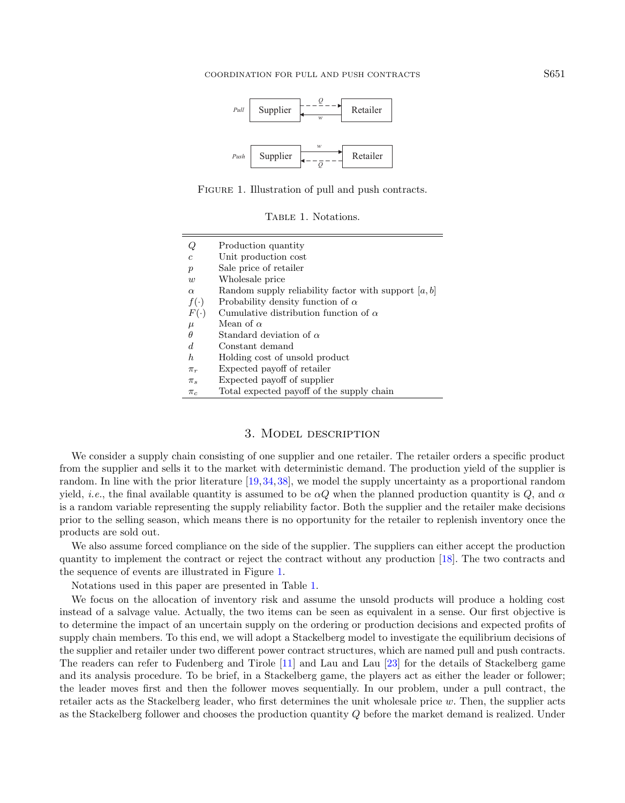<span id="page-4-2"></span><span id="page-4-1"></span>

Figure 1. Illustration of pull and push contracts.

TABLE 1. Notations.

| Ų                | Production quantity                                    |
|------------------|--------------------------------------------------------|
| $\mathfrak c$    | Unit production cost                                   |
| $\boldsymbol{p}$ | Sale price of retailer                                 |
| w                | Wholesale price                                        |
| $\alpha$         | Random supply reliability factor with support $[a, b]$ |
| $f(\cdot)$       | Probability density function of $\alpha$               |
| $F(\cdot)$       | Cumulative distribution function of $\alpha$           |
| $\mu$            | Mean of $\alpha$                                       |
| θ                | Standard deviation of $\alpha$                         |
| d.               | Constant demand                                        |
| h                | Holding cost of unsold product                         |
| $\pi_r$          | Expected payoff of retailer                            |
| $\pi_s$          | Expected payoff of supplier                            |
| $\pi_c$          | Total expected payoff of the supply chain              |

## 3. Model description

<span id="page-4-0"></span>We consider a supply chain consisting of one supplier and one retailer. The retailer orders a specific product from the supplier and sells it to the market with deterministic demand. The production yield of the supplier is random. In line with the prior literature [\[19,](#page-25-1)[34,](#page-25-26)[38\]](#page-25-27), we model the supply uncertainty as a proportional random yield, *i.e.*, the final available quantity is assumed to be  $\alpha Q$  when the planned production quantity is Q, and  $\alpha$ is a random variable representing the supply reliability factor. Both the supplier and the retailer make decisions prior to the selling season, which means there is no opportunity for the retailer to replenish inventory once the products are sold out.

We also assume forced compliance on the side of the supplier. The suppliers can either accept the production quantity to implement the contract or reject the contract without any production [\[18\]](#page-25-0). The two contracts and the sequence of events are illustrated in Figure [1.](#page-4-1)

Notations used in this paper are presented in Table [1.](#page-4-2)

We focus on the allocation of inventory risk and assume the unsold products will produce a holding cost instead of a salvage value. Actually, the two items can be seen as equivalent in a sense. Our first objective is to determine the impact of an uncertain supply on the ordering or production decisions and expected profits of supply chain members. To this end, we will adopt a Stackelberg model to investigate the equilibrium decisions of the supplier and retailer under two different power contract structures, which are named pull and push contracts. The readers can refer to Fudenberg and Tirole [\[11\]](#page-24-11) and Lau and Lau [\[23\]](#page-25-28) for the details of Stackelberg game and its analysis procedure. To be brief, in a Stackelberg game, the players act as either the leader or follower; the leader moves first and then the follower moves sequentially. In our problem, under a pull contract, the retailer acts as the Stackelberg leader, who first determines the unit wholesale price  $w$ . Then, the supplier acts as the Stackelberg follower and chooses the production quantity Q before the market demand is realized. Under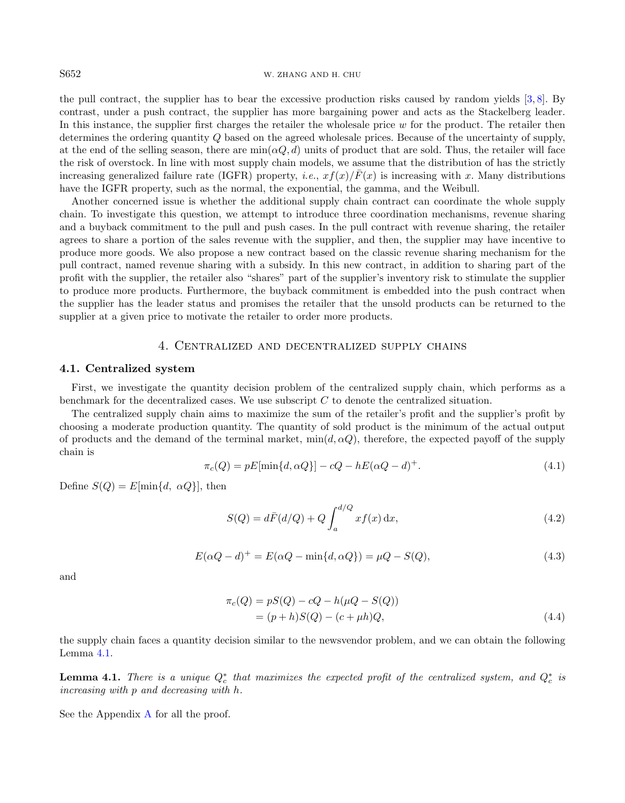#### S652 W. ZHANG AND H. CHU

the pull contract, the supplier has to bear the excessive production risks caused by random yields [\[3,](#page-24-0) [8\]](#page-24-12). By contrast, under a push contract, the supplier has more bargaining power and acts as the Stackelberg leader. In this instance, the supplier first charges the retailer the wholesale price  $w$  for the product. The retailer then determines the ordering quantity Q based on the agreed wholesale prices. Because of the uncertainty of supply, at the end of the selling season, there are  $\min(\alpha, d)$  units of product that are sold. Thus, the retailer will face the risk of overstock. In line with most supply chain models, we assume that the distribution of has the strictly increasing generalized failure rate (IGFR) property, *i.e.*,  $xf(x)/\bar{F}(x)$  is increasing with x. Many distributions have the IGFR property, such as the normal, the exponential, the gamma, and the Weibull.

Another concerned issue is whether the additional supply chain contract can coordinate the whole supply chain. To investigate this question, we attempt to introduce three coordination mechanisms, revenue sharing and a buyback commitment to the pull and push cases. In the pull contract with revenue sharing, the retailer agrees to share a portion of the sales revenue with the supplier, and then, the supplier may have incentive to produce more goods. We also propose a new contract based on the classic revenue sharing mechanism for the pull contract, named revenue sharing with a subsidy. In this new contract, in addition to sharing part of the profit with the supplier, the retailer also "shares" part of the supplier's inventory risk to stimulate the supplier to produce more products. Furthermore, the buyback commitment is embedded into the push contract when the supplier has the leader status and promises the retailer that the unsold products can be returned to the supplier at a given price to motivate the retailer to order more products.

### 4. Centralized and decentralized supply chains

#### <span id="page-5-3"></span><span id="page-5-0"></span>4.1. Centralized system

First, we investigate the quantity decision problem of the centralized supply chain, which performs as a benchmark for the decentralized cases. We use subscript C to denote the centralized situation.

The centralized supply chain aims to maximize the sum of the retailer's profit and the supplier's profit by choosing a moderate production quantity. The quantity of sold product is the minimum of the actual output of products and the demand of the terminal market,  $\min(d, \alpha Q)$ , therefore, the expected payoff of the supply chain is

$$
\pi_c(Q) = pE[\min\{d, \alpha Q\}] - cQ - hE(\alpha Q - d)^+.
$$
\n
$$
(4.1)
$$

Define  $S(Q) = E[\min\{d, \alpha Q\}]$ , then

$$
S(Q) = d\bar{F}(d/Q) + Q \int_{a}^{d/Q} x f(x) \, dx,\tag{4.2}
$$

$$
E(\alpha Q - d)^{+} = E(\alpha Q - \min\{d, \alpha Q\}) = \mu Q - S(Q),
$$
\n(4.3)

and

<span id="page-5-2"></span>
$$
\pi_c(Q) = pS(Q) - cQ - h(\mu Q - S(Q))
$$
  
= (p + h)S(Q) - (c + \mu h)Q, (4.4)

the supply chain faces a quantity decision similar to the newsvendor problem, and we can obtain the following Lemma [4.1.](#page-5-1)

<span id="page-5-1"></span>**Lemma 4.1.** There is a unique  $Q_c^*$  that maximizes the expected profit of the centralized system, and  $Q_c^*$  is increasing with p and decreasing with h.

See the Appendix [A](#page-18-1) for all the proof.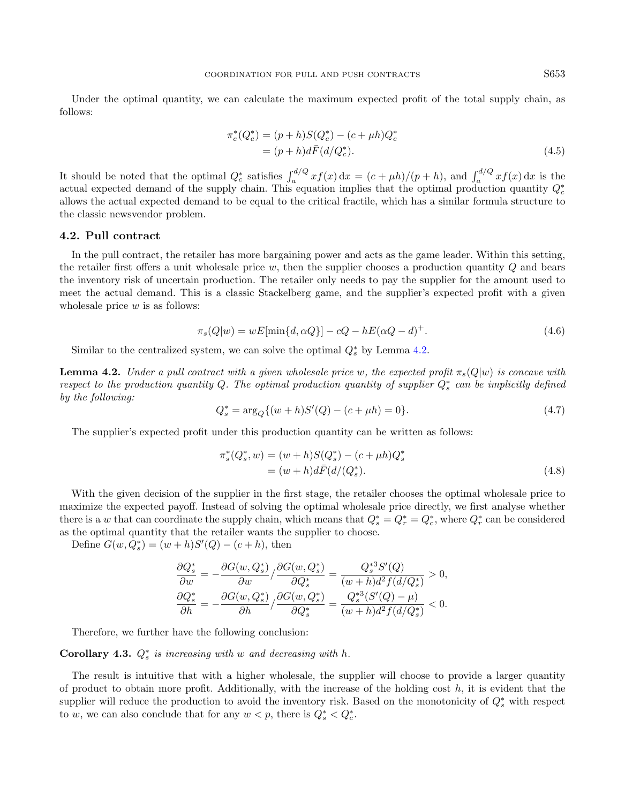Under the optimal quantity, we can calculate the maximum expected profit of the total supply chain, as follows:

$$
\pi_c^*(Q_c^*) = (p+h)S(Q_c^*) - (c+\mu h)Q_c^*
$$
  
=  $(p+h)d\bar{F}(d/Q_c^*).$  (4.5)

It should be noted that the optimal  $Q_c^*$  satisfies  $\int_a^{d/Q} x f(x) dx = (c + \mu h)/(p + h)$ , and  $\int_a^{d/Q} x f(x) dx$  is the actual expected demand of the supply chain. This equation implies that the optimal production quantity  $Q_c^*$ allows the actual expected demand to be equal to the critical fractile, which has a similar formula structure to the classic newsvendor problem.

### <span id="page-6-3"></span>4.2. Pull contract

<span id="page-6-1"></span>In the pull contract, the retailer has more bargaining power and acts as the game leader. Within this setting, the retailer first offers a unit wholesale price  $w$ , then the supplier chooses a production quantity  $Q$  and bears the inventory risk of uncertain production. The retailer only needs to pay the supplier for the amount used to meet the actual demand. This is a classic Stackelberg game, and the supplier's expected profit with a given wholesale price  $w$  is as follows:

$$
\pi_s(Q|w) = wE[\min\{d, \alpha Q\}] - cQ - hE(\alpha Q - d)^+.
$$
\n
$$
(4.6)
$$

Similar to the centralized system, we can solve the optimal  $Q_s^*$  by Lemma [4.2.](#page-6-0)

<span id="page-6-0"></span>**Lemma 4.2.** Under a pull contract with a given wholesale price w, the expected profit  $\pi_s(Q|w)$  is concave with respect to the production quantity Q. The optimal production quantity of supplier  $Q_s^*$  can be implicitly defined by the following:

$$
Q_s^* = \arg_Q \{ (w+h)S'(Q) - (c+\mu h) = 0 \}.
$$
\n(4.7)

The supplier's expected profit under this production quantity can be written as follows:

<span id="page-6-2"></span>
$$
\pi_s^*(Q_s^*, w) = (w + h)S(Q_s^*) - (c + \mu h)Q_s^*
$$
  
=  $(w + h)d\bar{F}(d/(Q_s^*)).$  (4.8)

With the given decision of the supplier in the first stage, the retailer chooses the optimal wholesale price to maximize the expected payoff. Instead of solving the optimal wholesale price directly, we first analyse whether there is a w that can coordinate the supply chain, which means that  $Q_s^* = Q_r^* = Q_c^*$ , where  $Q_r^*$  can be considered as the optimal quantity that the retailer wants the supplier to choose.

Define  $G(w, Q_s^*) = (w + h)S'(Q) - (c + h)$ , then

$$
\frac{\partial Q_s^*}{\partial w} = -\frac{\partial G(w, Q_s^*)}{\partial w} / \frac{\partial G(w, Q_s^*)}{\partial Q_s^*} = \frac{Q_s^{*3} S'(Q)}{(w+h)d^2 f(d/Q_s^*)} > 0,
$$
  

$$
\frac{\partial Q_s^*}{\partial h} = -\frac{\partial G(w, Q_s^*)}{\partial h} / \frac{\partial G(w, Q_s^*)}{\partial Q_s^*} = \frac{Q_s^{*3} (S'(Q) - \mu)}{(w+h)d^2 f(d/Q_s^*)} < 0.
$$

Therefore, we further have the following conclusion:

# Corollary 4.3.  $Q_s^*$  is increasing with w and decreasing with h.

The result is intuitive that with a higher wholesale, the supplier will choose to provide a larger quantity of product to obtain more profit. Additionally, with the increase of the holding cost  $h$ , it is evident that the supplier will reduce the production to avoid the inventory risk. Based on the monotonicity of  $Q_s^*$  with respect to w, we can also conclude that for any  $w < p$ , there is  $Q_s^* < Q_c^*$ .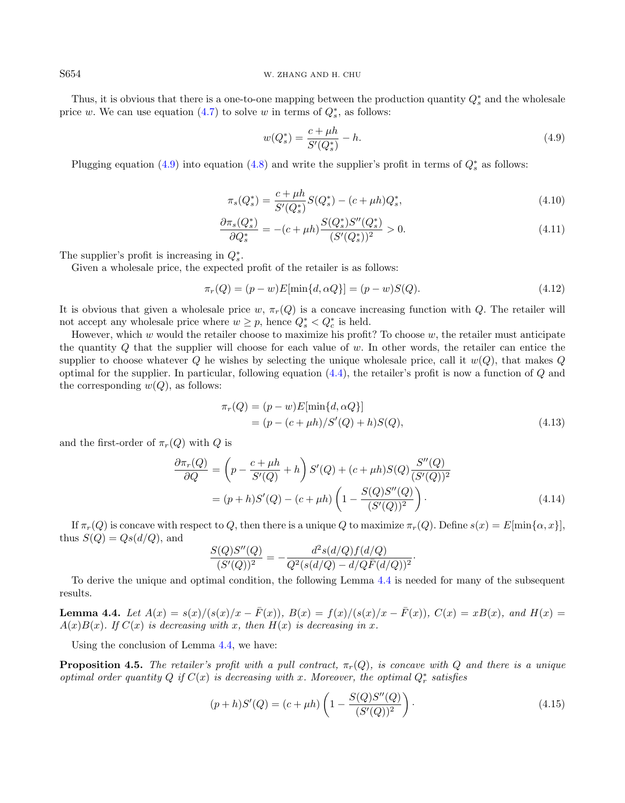Thus, it is obvious that there is a one-to-one mapping between the production quantity  $Q_s^*$  and the wholesale price w. We can use equation  $(4.7)$  to solve w in terms of  $Q_s^*$ , as follows:

<span id="page-7-0"></span>
$$
w(Q_s^*) = \frac{c + \mu h}{S'(Q_s^*)} - h.
$$
\n(4.9)

Plugging equation [\(4.9\)](#page-7-0) into equation [\(4.8\)](#page-6-2) and write the supplier's profit in terms of  $Q_s^*$  as follows:

<span id="page-7-3"></span>
$$
\pi_s(Q_s^*) = \frac{c + \mu h}{S'(Q_s^*)} S(Q_s^*) - (c + \mu h)Q_s^*,
$$
\n(4.10)

$$
\frac{\partial \pi_s(Q_s^*)}{\partial Q_s^*} = -(c + \mu h) \frac{S(Q_s^*) S''(Q_s^*)}{(S'(Q_s^*))^2} > 0.
$$
\n(4.11)

The supplier's profit is increasing in  $Q_s^*$ .

Given a wholesale price, the expected profit of the retailer is as follows:

$$
\pi_r(Q) = (p - w)E[\min\{d, \alpha Q\}] = (p - w)S(Q). \tag{4.12}
$$

It is obvious that given a wholesale price w,  $\pi_r(Q)$  is a concave increasing function with Q. The retailer will not accept any wholesale price where  $w \geq p$ , hence  $Q_s^* < Q_c^*$  is held.

However, which  $w$  would the retailer choose to maximize his profit? To choose  $w$ , the retailer must anticipate the quantity Q that the supplier will choose for each value of w. In other words, the retailer can entice the supplier to choose whatever Q he wishes by selecting the unique wholesale price, call it  $w(Q)$ , that makes Q optimal for the supplier. In particular, following equation  $(4.4)$ , the retailer's profit is now a function of  $Q$  and the corresponding  $w(Q)$ , as follows:

<span id="page-7-5"></span>
$$
\pi_r(Q) = (p - w)E[\min\{d, \alpha Q\}]
$$
  
=  $(p - (c + \mu h)/S'(Q) + h)S(Q)$ , (4.13)

and the first-order of  $\pi_r(Q)$  with Q is

$$
\frac{\partial \pi_r(Q)}{\partial Q} = \left(p - \frac{c + \mu h}{S'(Q)} + h\right) S'(Q) + (c + \mu h) S(Q) \frac{S''(Q)}{(S'(Q))^2}
$$

$$
= (p + h)S'(Q) - (c + \mu h) \left(1 - \frac{S(Q)S''(Q)}{(S'(Q))^2}\right). \tag{4.14}
$$

If  $\pi_r(Q)$  is concave with respect to Q, then there is a unique Q to maximize  $\pi_r(Q)$ . Define  $s(x) = E[\min{\{\alpha, x\}}]$ , thus  $S(Q) = Qs(d/Q)$ , and

<span id="page-7-2"></span>
$$
\frac{S(Q)S''(Q)}{(S'(Q))^2} = -\frac{d^2s(d/Q)f(d/Q)}{Q^2(s(d/Q) - d/Q\overline{F}(d/Q))^2}.
$$

To derive the unique and optimal condition, the following Lemma [4.4](#page-7-1) is needed for many of the subsequent results.

<span id="page-7-1"></span>Lemma 4.4. Let  $A(x) = s(x)/(s(x)/x - \bar{F}(x))$ ,  $B(x) = f(x)/(s(x)/x - \bar{F}(x))$ ,  $C(x) = xB(x)$ , and  $H(x) =$  $A(x)B(x)$ . If  $C(x)$  is decreasing with x, then  $H(x)$  is decreasing in x.

Using the conclusion of Lemma [4.4,](#page-7-1) we have:

<span id="page-7-4"></span>**Proposition 4.5.** The retailer's profit with a pull contract,  $\pi_r(Q)$ , is concave with Q and there is a unique optimal order quantity Q if  $C(x)$  is decreasing with x. Moreover, the optimal  $Q_r^*$  satisfies

$$
(p+h)S'(Q) = (c+\mu h)\left(1 - \frac{S(Q)S''(Q)}{(S'(Q))^2}\right).
$$
\n(4.15)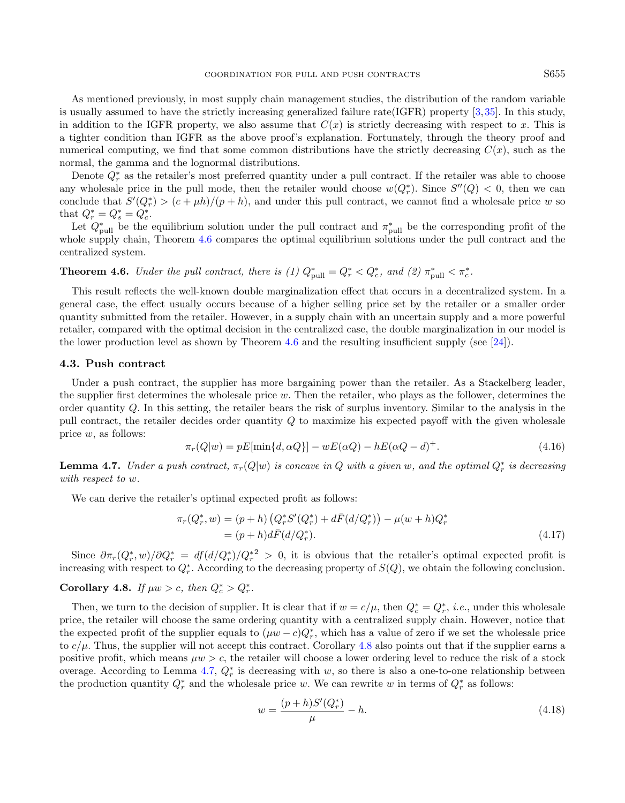As mentioned previously, in most supply chain management studies, the distribution of the random variable is usually assumed to have the strictly increasing generalized failure rate(IGFR) property [\[3,](#page-24-0) [35\]](#page-25-5). In this study, in addition to the IGFR property, we also assume that  $C(x)$  is strictly decreasing with respect to x. This is a tighter condition than IGFR as the above proof's explanation. Fortunately, through the theory proof and numerical computing, we find that some common distributions have the strictly decreasing  $C(x)$ , such as the normal, the gamma and the lognormal distributions.

Denote  $Q_r^*$  as the retailer's most preferred quantity under a pull contract. If the retailer was able to choose any wholesale price in the pull mode, then the retailer would choose  $w(Q_r^*)$ . Since  $S''(Q) < 0$ , then we can conclude that  $S'(Q_r^*) > (c + \mu h)/(p + h)$ , and under this pull contract, we cannot find a wholesale price w so that  $Q_r^* = Q_s^* = Q_c^*$ .

Let  $Q_{\text{pull}}^*$  be the equilibrium solution under the pull contract and  $\pi_{\text{pull}}^*$  be the corresponding profit of the whole supply chain, Theorem [4.6](#page-8-0) compares the optimal equilibrium solutions under the pull contract and the centralized system.

<span id="page-8-0"></span>**Theorem 4.6.** Under the pull contract, there is (1)  $Q_{\text{pull}}^* = Q_r^* < Q_c^*$ , and (2)  $\pi_{\text{pull}}^* < \pi_c^*$ .

This result reflects the well-known double marginalization effect that occurs in a decentralized system. In a general case, the effect usually occurs because of a higher selling price set by the retailer or a smaller order quantity submitted from the retailer. However, in a supply chain with an uncertain supply and a more powerful retailer, compared with the optimal decision in the centralized case, the double marginalization in our model is the lower production level as shown by Theorem [4.6](#page-8-0) and the resulting insufficient supply (see [\[24\]](#page-25-10)).

#### 4.3. Push contract

Under a push contract, the supplier has more bargaining power than the retailer. As a Stackelberg leader, the supplier first determines the wholesale price  $w$ . Then the retailer, who plays as the follower, determines the order quantity  $Q$ . In this setting, the retailer bears the risk of surplus inventory. Similar to the analysis in the pull contract, the retailer decides order quantity Q to maximize his expected payoff with the given wholesale price w, as follows:

$$
\pi_r(Q|w) = pE[\min\{d, \alpha Q\}] - wE(\alpha Q) - hE(\alpha Q - d)^+.
$$
\n(4.16)

<span id="page-8-2"></span>**Lemma 4.7.** Under a push contract,  $\pi_r(Q|w)$  is concave in Q with a given w, and the optimal  $Q_r^*$  is decreasing with respect to w.

We can derive the retailer's optimal expected profit as follows:

$$
\pi_r(Q_r^*, w) = (p + h) \left( Q_r^* S'(Q_r^*) + d\bar{F}(d/Q_r^*) \right) - \mu(w + h) Q_r^*
$$
  
= 
$$
(p + h) d\bar{F}(d/Q_r^*).
$$
 (4.17)

Since  $\partial \pi_r(Q_r^*,w)/\partial Q_r^* = df(d/Q_r^*)/Q_r^{*2} > 0$ , it is obvious that the retailer's optimal expected profit is increasing with respect to  $Q^*_{r}$ . According to the decreasing property of  $S(Q)$ , we obtain the following conclusion.

# <span id="page-8-1"></span>Corollary 4.8. If  $\mu w > c$ , then  $Q_c^* > Q_r^*$ .

Then, we turn to the decision of supplier. It is clear that if  $w = c/\mu$ , then  $Q_c^* = Q_r^*$ , *i.e.*, under this wholesale price, the retailer will choose the same ordering quantity with a centralized supply chain. However, notice that the expected profit of the supplier equals to  $(\mu w - c)Q_r^*$ , which has a value of zero if we set the wholesale price to  $c/\mu$ . Thus, the supplier will not accept this contract. Corollary [4.8](#page-8-1) also points out that if the supplier earns a positive profit, which means  $\mu w > c$ , the retailer will choose a lower ordering level to reduce the risk of a stock overage. According to Lemma [4.7,](#page-8-2)  $Q_r^*$  is decreasing with w, so there is also a one-to-one relationship between the production quantity  $Q_r^*$  and the wholesale price w. We can rewrite w in terms of  $Q_r^*$  as follows:

<span id="page-8-3"></span>
$$
w = \frac{(p+h)S'(Q_r^*)}{\mu} - h.
$$
\n(4.18)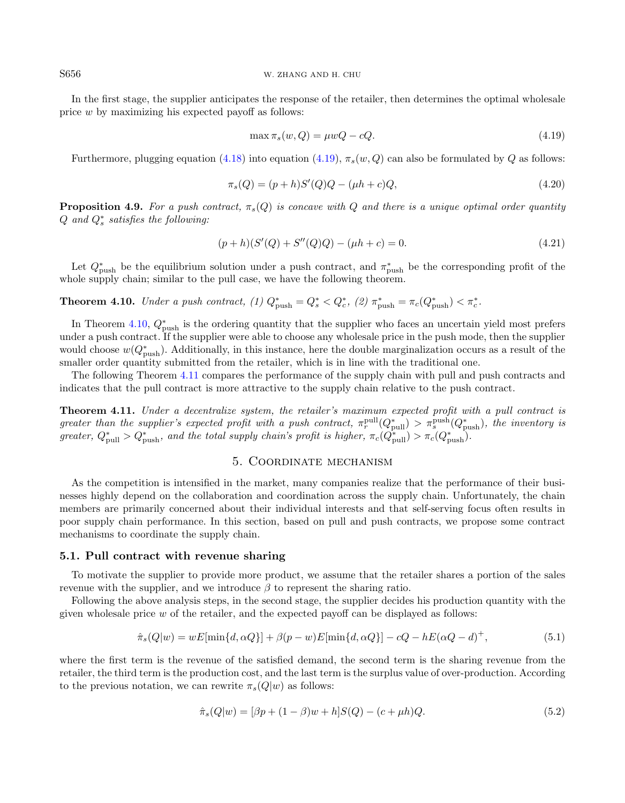<span id="page-9-6"></span>S656 W. ZHANG AND H. CHU

In the first stage, the supplier anticipates the response of the retailer, then determines the optimal wholesale price w by maximizing his expected payoff as follows:

<span id="page-9-1"></span>
$$
\max \pi_s(w, Q) = \mu w Q - cQ. \tag{4.19}
$$

Furthermore, plugging equation [\(4.18\)](#page-8-3) into equation [\(4.19\)](#page-9-1),  $\pi_s(w, Q)$  can also be formulated by Q as follows:

$$
\pi_s(Q) = (p+h)S'(Q)Q - (\mu h + c)Q,
$$
\n(4.20)

<span id="page-9-5"></span>**Proposition 4.9.** For a push contract,  $\pi_s(Q)$  is concave with Q and there is a unique optimal order quantity  $Q$  and  $Q_s^*$  satisfies the following:

$$
(p+h)(S'(Q) + S''(Q)Q) - (\mu h + c) = 0.
$$
\n(4.21)

Let  $Q_{\text{push}}^*$  be the equilibrium solution under a push contract, and  $\pi_{\text{push}}^*$  be the corresponding profit of the whole supply chain; similar to the pull case, we have the following theorem.

<span id="page-9-2"></span>**Theorem 4.10.** Under a push contract, (1)  $Q_{\text{push}}^* = Q_s^* < Q_c^*$ , (2)  $\pi_{\text{push}}^* = \pi_c(Q_{\text{push}}^*) < \pi_c^*$ .

In Theorem [4.10,](#page-9-2)  $Q_{\text{push}}^*$  is the ordering quantity that the supplier who faces an uncertain yield most prefers under a push contract. If the supplier were able to choose any wholesale price in the push mode, then the supplier would choose  $w(Q_{\text{push}}^*)$ . Additionally, in this instance, here the double marginalization occurs as a result of the smaller order quantity submitted from the retailer, which is in line with the traditional one.

The following Theorem [4.11](#page-9-3) compares the performance of the supply chain with pull and push contracts and indicates that the pull contract is more attractive to the supply chain relative to the push contract.

<span id="page-9-3"></span>Theorem 4.11. Under a decentralize system, the retailer's maximum expected profit with a pull contract is greater than the supplier's expected profit with a push contract,  $\pi_r^{\text{pull}}(Q_{\text{pull}}^*) > \pi_s^{\text{push}}(Q_{\text{push}}^*)$ , the inventory is greater,  $Q_{\text{pull}}^* > Q_{\text{push}}^*$ , and the total supply chain's profit is higher,  $\pi_c(Q_{\text{pull}}^*) > \pi_c(Q_{\text{push}}^*)$ .

## <span id="page-9-4"></span>5. Coordinate mechanism

<span id="page-9-0"></span>As the competition is intensified in the market, many companies realize that the performance of their businesses highly depend on the collaboration and coordination across the supply chain. Unfortunately, the chain members are primarily concerned about their individual interests and that self-serving focus often results in poor supply chain performance. In this section, based on pull and push contracts, we propose some contract mechanisms to coordinate the supply chain.

#### 5.1. Pull contract with revenue sharing

To motivate the supplier to provide more product, we assume that the retailer shares a portion of the sales revenue with the supplier, and we introduce  $\beta$  to represent the sharing ratio.

Following the above analysis steps, in the second stage, the supplier decides his production quantity with the given wholesale price  $w$  of the retailer, and the expected payoff can be displayed as follows:

$$
\hat{\pi}_s(Q|w) = wE[\min\{d, \alpha Q\}] + \beta(p - w)E[\min\{d, \alpha Q\}] - cQ - hE(\alpha Q - d)^+, \tag{5.1}
$$

<span id="page-9-7"></span>where the first term is the revenue of the satisfied demand, the second term is the sharing revenue from the retailer, the third term is the production cost, and the last term is the surplus value of over-production. According to the previous notation, we can rewrite  $\pi_s(Q|w)$  as follows:

$$
\hat{\pi}_s(Q|w) = [\beta p + (1 - \beta)w + h]S(Q) - (c + \mu h)Q. \tag{5.2}
$$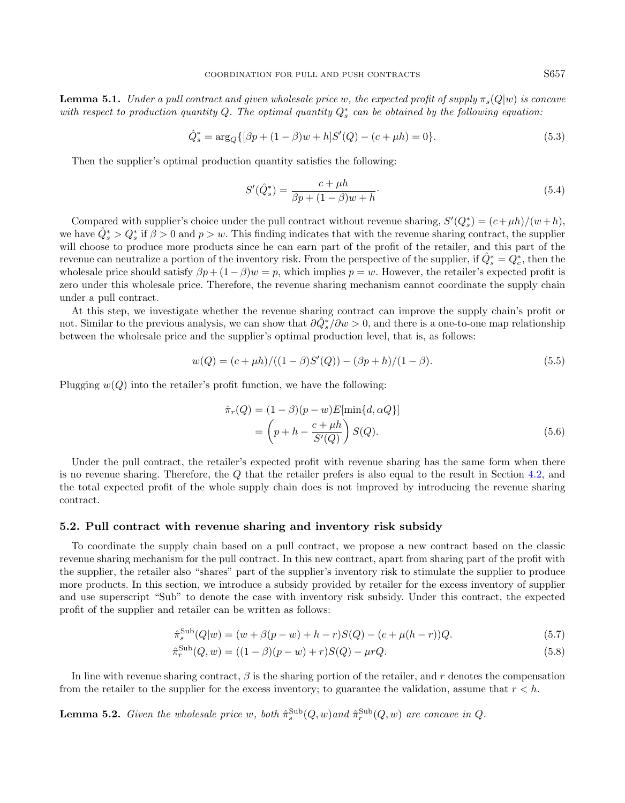**Lemma 5.1.** Under a pull contract and given wholesale price w, the expected profit of supply  $\pi_s(Q|w)$  is concave with respect to production quantity Q. The optimal quantity  $Q_s^*$  can be obtained by the following equation:

$$
\hat{Q}_s^* = \arg_Q \{ [\beta p + (1 - \beta)w + h] S'(Q) - (c + \mu h) = 0 \}.
$$
\n(5.3)

Then the supplier's optimal production quantity satisfies the following:

$$
S'(\hat{Q}_s^*) = \frac{c + \mu h}{\beta p + (1 - \beta)w + h}.\tag{5.4}
$$

Compared with supplier's choice under the pull contract without revenue sharing,  $S'(Q_s^*) = (c + \mu h)/(w + h)$ , we have  $\hat{Q}_s^* > Q_s^*$  if  $\beta > 0$  and  $p > w$ . This finding indicates that with the revenue sharing contract, the supplier will choose to produce more products since he can earn part of the profit of the retailer, and this part of the revenue can neutralize a portion of the inventory risk. From the perspective of the supplier, if  $\hat{Q}_s^* = Q_c^*$ , then the wholesale price should satisfy  $\beta p + (1 - \beta)w = p$ , which implies  $p = w$ . However, the retailer's expected profit is zero under this wholesale price. Therefore, the revenue sharing mechanism cannot coordinate the supply chain under a pull contract.

At this step, we investigate whether the revenue sharing contract can improve the supply chain's profit or not. Similar to the previous analysis, we can show that  $\partial \hat{Q}_{s}^{*}/\partial w > 0$ , and there is a one-to-one map relationship between the wholesale price and the supplier's optimal production level, that is, as follows:

$$
w(Q) = (c + \mu h) / ((1 - \beta)S'(Q)) - (\beta p + h) / (1 - \beta). \tag{5.5}
$$

Plugging  $w(Q)$  into the retailer's profit function, we have the following:

$$
\hat{\pi}_r(Q) = (1 - \beta)(p - w)E[\min\{d, \alpha Q\}]
$$

$$
= \left(p + h - \frac{c + \mu h}{S'(Q)}\right)S(Q).
$$
(5.6)

Under the pull contract, the retailer's expected profit with revenue sharing has the same form when there is no revenue sharing. Therefore, the Q that the retailer prefers is also equal to the result in Section [4.2,](#page-6-3) and the total expected profit of the whole supply chain does is not improved by introducing the revenue sharing contract.

#### 5.2. Pull contract with revenue sharing and inventory risk subsidy

To coordinate the supply chain based on a pull contract, we propose a new contract based on the classic revenue sharing mechanism for the pull contract. In this new contract, apart from sharing part of the profit with the supplier, the retailer also "shares" part of the supplier's inventory risk to stimulate the supplier to produce more products. In this section, we introduce a subsidy provided by retailer for the excess inventory of supplier and use superscript "Sub" to denote the case with inventory risk subsidy. Under this contract, the expected profit of the supplier and retailer can be written as follows:

$$
\hat{\pi}_s^{\text{Sub}}(Q|w) = (w + \beta(p - w) + h - r)S(Q) - (c + \mu(h - r))Q.
$$
\n(5.7)

$$
\hat{\pi}_r^{\text{Sub}}(Q, w) = ((1 - \beta)(p - w) + r)S(Q) - \mu rQ.
$$
\n(5.8)

In line with revenue sharing contract,  $\beta$  is the sharing portion of the retailer, and r denotes the compensation from the retailer to the supplier for the excess inventory; to guarantee the validation, assume that  $r < h$ .

<span id="page-10-0"></span>**Lemma 5.2.** Given the wholesale price w, both  $\hat{\pi}_s^{\text{Sub}}(Q, w)$  and  $\hat{\pi}_r^{\text{Sub}}(Q, w)$  are concave in Q.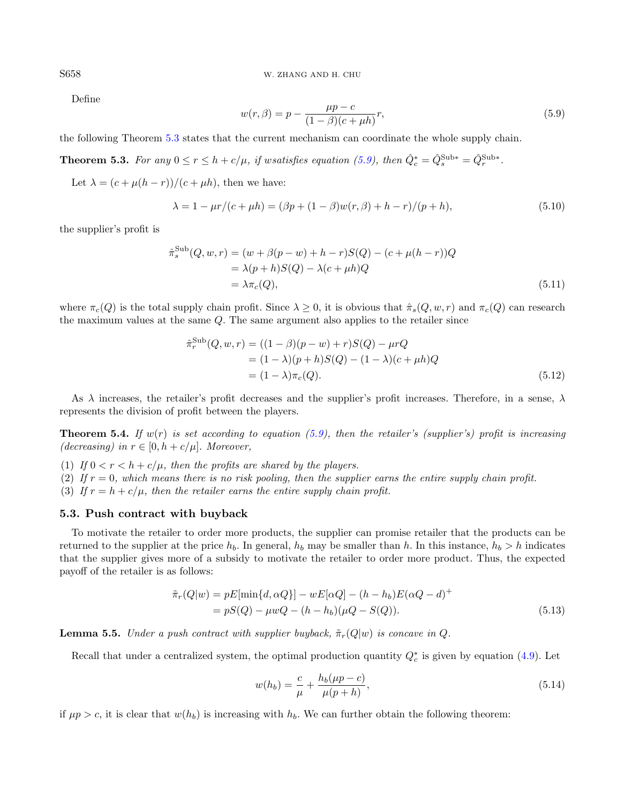<span id="page-11-1"></span>S658 W. ZHANG AND H. CHU

Define

<span id="page-11-7"></span>
$$
w(r,\beta) = p - \frac{\mu p - c}{(1 - \beta)(c + \mu h)}r,
$$
\n(5.9)

<span id="page-11-0"></span>the following Theorem [5.3](#page-11-0) states that the current mechanism can coordinate the whole supply chain.

**Theorem 5.3.** For any  $0 \le r \le h + c/\mu$ , if wsatisfies equation [\(5.9\)](#page-11-1), then  $\hat{Q}_c^* = \hat{Q}_s^{\text{Sub}*} = \hat{Q}_r^{\text{Sub}*}$ .

Let  $\lambda = (c + \mu(h - r))/(c + \mu h)$ , then we have:

$$
\lambda = 1 - \mu r / (c + \mu h) = (\beta p + (1 - \beta) w(r, \beta) + h - r) / (p + h), \tag{5.10}
$$

the supplier's profit is

<span id="page-11-6"></span>
$$
\hat{\pi}_s^{\text{Sub}}(Q, w, r) = (w + \beta(p - w) + h - r)S(Q) - (c + \mu(h - r))Q \n= \lambda(p + h)S(Q) - \lambda(c + \mu h)Q \n= \lambda \pi_c(Q),
$$
\n(5.11)

where  $\pi_c(Q)$  is the total supply chain profit. Since  $\lambda \geq 0$ , it is obvious that  $\hat{\pi}_s(Q, w, r)$  and  $\pi_c(Q)$  can research the maximum values at the same Q. The same argument also applies to the retailer since

<span id="page-11-4"></span>
$$
\hat{\pi}_r^{\text{Sub}}(Q, w, r) = ((1 - \beta)(p - w) + r)S(Q) - \mu rQ \n= (1 - \lambda)(p + h)S(Q) - (1 - \lambda)(c + \mu h)Q \n= (1 - \lambda)\pi_c(Q).
$$
\n(5.12)

As  $\lambda$  increases, the retailer's profit decreases and the supplier's profit increases. Therefore, in a sense,  $\lambda$ represents the division of profit between the players.

<span id="page-11-5"></span>**Theorem 5.4.** If  $w(r)$  is set according to equation [\(5.9\)](#page-11-1), then the retailer's (supplier's) profit is increasing (decreasing) in  $r \in [0, h + c/\mu]$ . Moreover,

- (1) If  $0 < r < h + c/\mu$ , then the profits are shared by the players.
- (2) If  $r = 0$ , which means there is no risk pooling, then the supplier earns the entire supply chain profit.
- (3) If  $r = h + c/\mu$ , then the retailer earns the entire supply chain profit.

#### 5.3. Push contract with buyback

To motivate the retailer to order more products, the supplier can promise retailer that the products can be returned to the supplier at the price  $h_b$ . In general,  $h_b$  may be smaller than h. In this instance,  $h_b > h$  indicates that the supplier gives more of a subsidy to motivate the retailer to order more product. Thus, the expected payoff of the retailer is as follows:

$$
\tilde{\pi}_r(Q|w) = pE[\min\{d, \alpha Q\}] - wE[\alpha Q] - (h - h_b)E(\alpha Q - d)^+ \n= pS(Q) - \mu wQ - (h - h_b)(\mu Q - S(Q)).
$$
\n(5.13)

<span id="page-11-8"></span>**Lemma 5.5.** Under a push contract with supplier buyback,  $\tilde{\pi}_r(Q|w)$  is concave in Q.

Recall that under a centralized system, the optimal production quantity  $Q_c^*$  is given by equation [\(4.9\)](#page-7-0). Let

<span id="page-11-2"></span>
$$
w(h_b) = \frac{c}{\mu} + \frac{h_b(\mu p - c)}{\mu(p + h)},
$$
\n(5.14)

<span id="page-11-3"></span>if  $\mu p > c$ , it is clear that  $w(h_b)$  is increasing with  $h_b$ . We can further obtain the following theorem: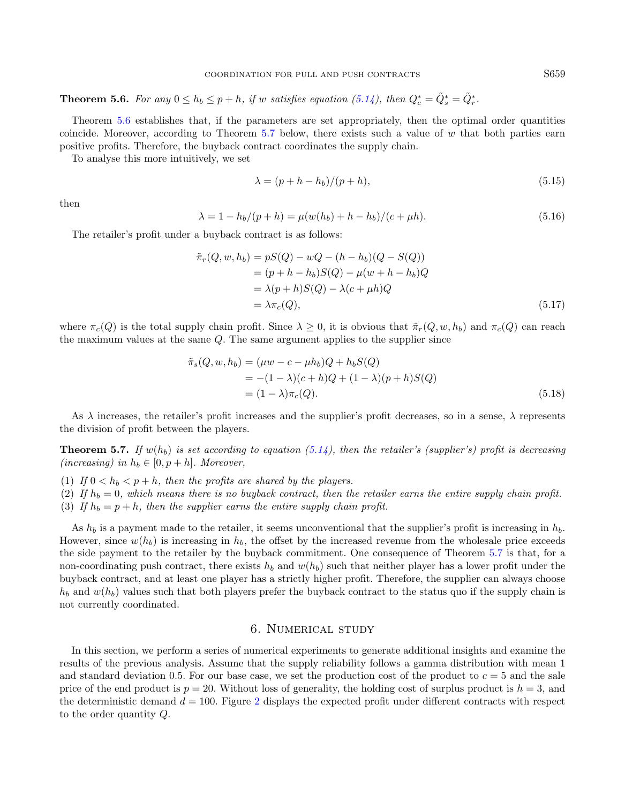**Theorem 5.6.** For any  $0 \le h_b \le p + h$ , if w satisfies equation [\(5.14\)](#page-11-2), then  $Q_c^* = \tilde{Q}_s^* = \tilde{Q}_r^*$ .

Theorem [5.6](#page-11-3) establishes that, if the parameters are set appropriately, then the optimal order quantities coincide. Moreover, according to Theorem [5.7](#page-12-1) below, there exists such a value of w that both parties earn positive profits. Therefore, the buyback contract coordinates the supply chain.

To analyse this more intuitively, we set

<span id="page-12-2"></span>
$$
\lambda = (p + h - h_b)/(p + h),\tag{5.15}
$$

then

$$
\lambda = 1 - h_b/(p + h) = \mu(w(h_b) + h - h_b)/(c + \mu h). \tag{5.16}
$$

The retailer's profit under a buyback contract is as follows:

<span id="page-12-3"></span>
$$
\tilde{\pi}_r(Q, w, h_b) = pS(Q) - wQ - (h - h_b)(Q - S(Q))
$$
  
\n
$$
= (p + h - h_b)S(Q) - \mu(w + h - h_b)Q
$$
  
\n
$$
= \lambda(p + h)S(Q) - \lambda(c + \mu h)Q
$$
  
\n
$$
= \lambda \pi_c(Q), \qquad (5.17)
$$

where  $\pi_c(Q)$  is the total supply chain profit. Since  $\lambda \geq 0$ , it is obvious that  $\tilde{\pi}_r(Q, w, h_b)$  and  $\pi_c(Q)$  can reach the maximum values at the same Q. The same argument applies to the supplier since

<span id="page-12-4"></span>
$$
\tilde{\pi}_s(Q, w, h_b) = (\mu w - c - \mu h_b)Q + h_b S(Q) \n= -(1 - \lambda)(c + h)Q + (1 - \lambda)(p + h)S(Q) \n= (1 - \lambda)\pi_c(Q).
$$
\n(5.18)

As  $\lambda$  increases, the retailer's profit increases and the supplier's profit decreases, so in a sense,  $\lambda$  represents the division of profit between the players.

<span id="page-12-1"></span>**Theorem 5.7.** If  $w(h_b)$  is set according to equation [\(5.14\)](#page-11-2), then the retailer's (supplier's) profit is decreasing (increasing) in  $h_b \in [0, p+h]$ . Moreover,

- (1) If  $0 < h_b < p+h$ , then the profits are shared by the players.
- (2) If  $h_b = 0$ , which means there is no buyback contract, then the retailer earns the entire supply chain profit.
- (3) If  $h_b = p + h$ , then the supplier earns the entire supply chain profit.

As  $h_b$  is a payment made to the retailer, it seems unconventional that the supplier's profit is increasing in  $h_b$ . However, since  $w(h_b)$  is increasing in  $h_b$ , the offset by the increased revenue from the wholesale price exceeds the side payment to the retailer by the buyback commitment. One consequence of Theorem [5.7](#page-12-1) is that, for a non-coordinating push contract, there exists  $h_b$  and  $w(h_b)$  such that neither player has a lower profit under the buyback contract, and at least one player has a strictly higher profit. Therefore, the supplier can always choose  $h_b$  and  $w(h_b)$  values such that both players prefer the buyback contract to the status quo if the supply chain is not currently coordinated.

# 6. Numerical study

<span id="page-12-0"></span>In this section, we perform a series of numerical experiments to generate additional insights and examine the results of the previous analysis. Assume that the supply reliability follows a gamma distribution with mean 1 and standard deviation 0.5. For our base case, we set the production cost of the product to  $c = 5$  and the sale price of the end product is  $p = 20$ . Without loss of generality, the holding cost of surplus product is  $h = 3$ , and the deterministic demand  $d = 100$ . Figure [2](#page-13-0) displays the expected profit under different contracts with respect to the order quantity Q.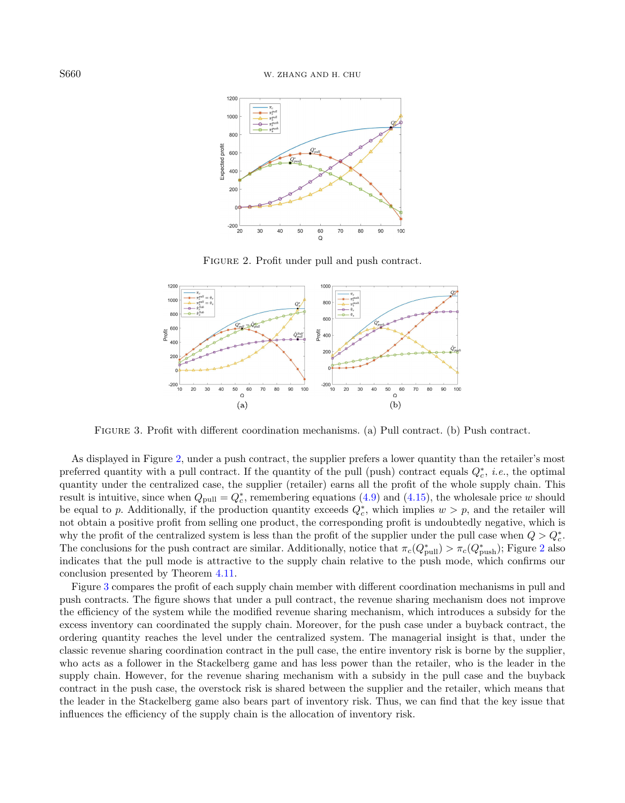<span id="page-13-0"></span>

FIGURE 2. Profit under pull and push contract.

<span id="page-13-1"></span>

Figure 3. Profit with different coordination mechanisms. (a) Pull contract. (b) Push contract.

As displayed in Figure [2,](#page-13-0) under a push contract, the supplier prefers a lower quantity than the retailer's most preferred quantity with a pull contract. If the quantity of the pull (push) contract equals  $Q_c^*$ , *i.e.*, the optimal quantity under the centralized case, the supplier (retailer) earns all the profit of the whole supply chain. This result is intuitive, since when  $Q_{\text{pull}} = Q_c^*$ , remembering equations [\(4.9\)](#page-7-0) and [\(4.15\)](#page-7-2), the wholesale price w should be equal to p. Additionally, if the production quantity exceeds  $Q_c^*$ , which implies  $w > p$ , and the retailer will not obtain a positive profit from selling one product, the corresponding profit is undoubtedly negative, which is why the profit of the centralized system is less than the profit of the supplier under the pull case when  $Q > Q_c^*$ . The conclusions for the push contract are similar. Additionally, notice that  $\pi_c(Q^*_{\text{pull}}) > \pi_c(Q^*_{\text{push}})$ ; Figure [2](#page-13-0) also indicates that the pull mode is attractive to the supply chain relative to the push mode, which confirms our conclusion presented by Theorem [4.11.](#page-9-3)

Figure [3](#page-13-1) compares the profit of each supply chain member with different coordination mechanisms in pull and push contracts. The figure shows that under a pull contract, the revenue sharing mechanism does not improve the efficiency of the system while the modified revenue sharing mechanism, which introduces a subsidy for the excess inventory can coordinated the supply chain. Moreover, for the push case under a buyback contract, the ordering quantity reaches the level under the centralized system. The managerial insight is that, under the classic revenue sharing coordination contract in the pull case, the entire inventory risk is borne by the supplier, who acts as a follower in the Stackelberg game and has less power than the retailer, who is the leader in the supply chain. However, for the revenue sharing mechanism with a subsidy in the pull case and the buyback contract in the push case, the overstock risk is shared between the supplier and the retailer, which means that the leader in the Stackelberg game also bears part of inventory risk. Thus, we can find that the key issue that influences the efficiency of the supply chain is the allocation of inventory risk.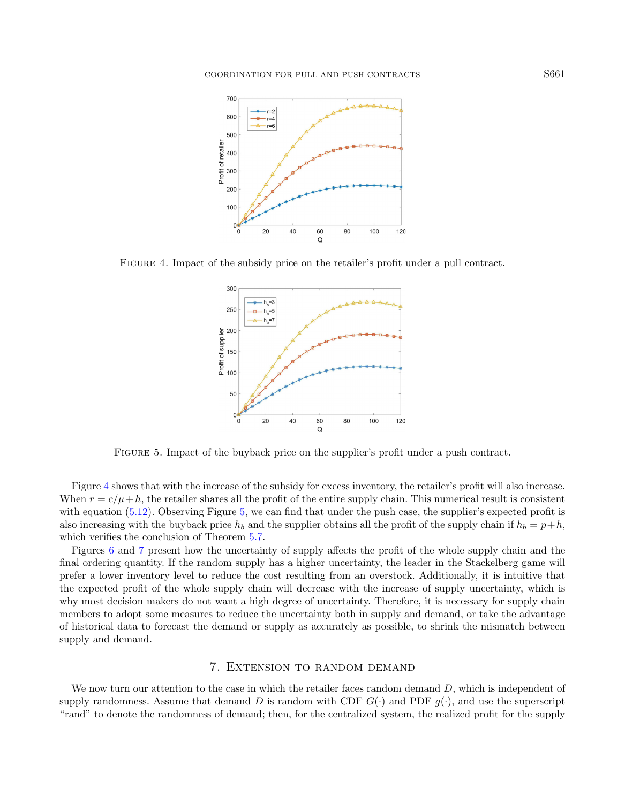<span id="page-14-1"></span>

Figure 4. Impact of the subsidy price on the retailer's profit under a pull contract.

<span id="page-14-2"></span>

Figure 5. Impact of the buyback price on the supplier's profit under a push contract.

Figure [4](#page-14-1) shows that with the increase of the subsidy for excess inventory, the retailer's profit will also increase. When  $r = c/\mu + h$ , the retailer shares all the profit of the entire supply chain. This numerical result is consistent with equation  $(5.12)$ . Observing Figure [5,](#page-14-2) we can find that under the push case, the supplier's expected profit is also increasing with the buyback price  $h_b$  and the supplier obtains all the profit of the supply chain if  $h_b = p+h$ , which verifies the conclusion of Theorem  $5.7$ .

Figures [6](#page-15-0) and [7](#page-15-1) present how the uncertainty of supply affects the profit of the whole supply chain and the final ordering quantity. If the random supply has a higher uncertainty, the leader in the Stackelberg game will prefer a lower inventory level to reduce the cost resulting from an overstock. Additionally, it is intuitive that the expected profit of the whole supply chain will decrease with the increase of supply uncertainty, which is why most decision makers do not want a high degree of uncertainty. Therefore, it is necessary for supply chain members to adopt some measures to reduce the uncertainty both in supply and demand, or take the advantage of historical data to forecast the demand or supply as accurately as possible, to shrink the mismatch between supply and demand.

## 7. Extension to random demand

<span id="page-14-0"></span>We now turn our attention to the case in which the retailer faces random demand  $D$ , which is independent of supply randomness. Assume that demand D is random with CDF  $G(\cdot)$  and PDF  $g(\cdot)$ , and use the superscript "rand" to denote the randomness of demand; then, for the centralized system, the realized profit for the supply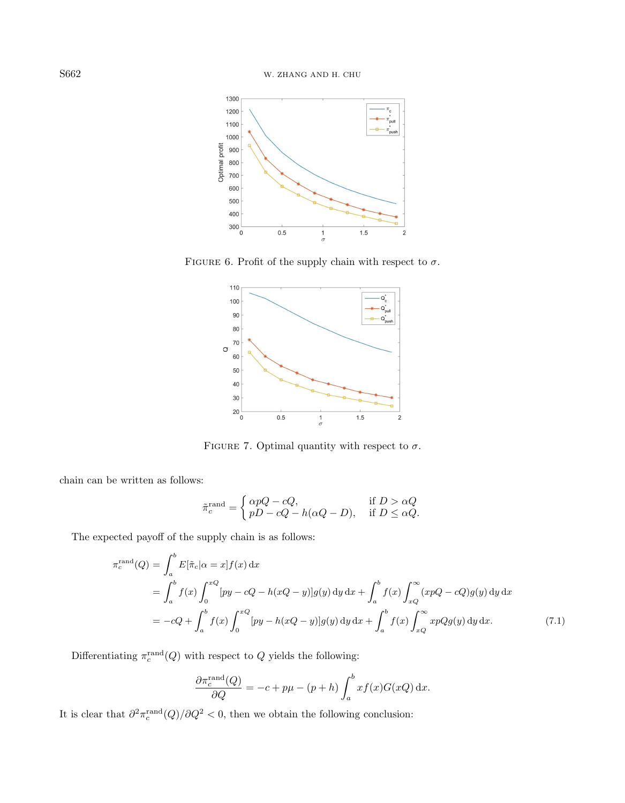<span id="page-15-0"></span>

FIGURE 6. Profit of the supply chain with respect to  $\sigma$ .

<span id="page-15-1"></span>

FIGURE 7. Optimal quantity with respect to  $\sigma$ .

chain can be written as follows:

$$
\tilde{\pi}_c^{\text{rand}} = \begin{cases}\n\alpha pQ - cQ, & \text{if } D > \alpha Q \\
pD - cQ - h(\alpha Q - D), & \text{if } D \leq \alpha Q.\n\end{cases}
$$

The expected payoff of the supply chain is as follows:

$$
\pi_c^{\text{rand}}(Q) = \int_a^b E[\tilde{\pi}_c | \alpha = x] f(x) \, dx
$$
\n
$$
= \int_a^b f(x) \int_0^{xQ} [py - cQ - h(xQ - y)] g(y) \, dy \, dx + \int_a^b f(x) \int_{xQ}^\infty (xpQ - cQ) g(y) \, dy \, dx
$$
\n
$$
= -cQ + \int_a^b f(x) \int_0^{xQ} [py - h(xQ - y)] g(y) \, dy \, dx + \int_a^b f(x) \int_{xQ}^\infty xpQg(y) \, dy \, dx. \tag{7.1}
$$

Differentiating  $\pi_c^{\text{rand}}(Q)$  with respect to Q yields the following:

$$
\frac{\partial \pi_c^{\text{rand}}(Q)}{\partial Q} = -c + p\mu - (p+h) \int_a^b x f(x) G(xQ) \, \mathrm{d}x.
$$

<span id="page-15-2"></span>It is clear that  $\partial^2 \pi_c^{\text{rand}}(Q)/\partial Q^2 < 0$ , then we obtain the following conclusion: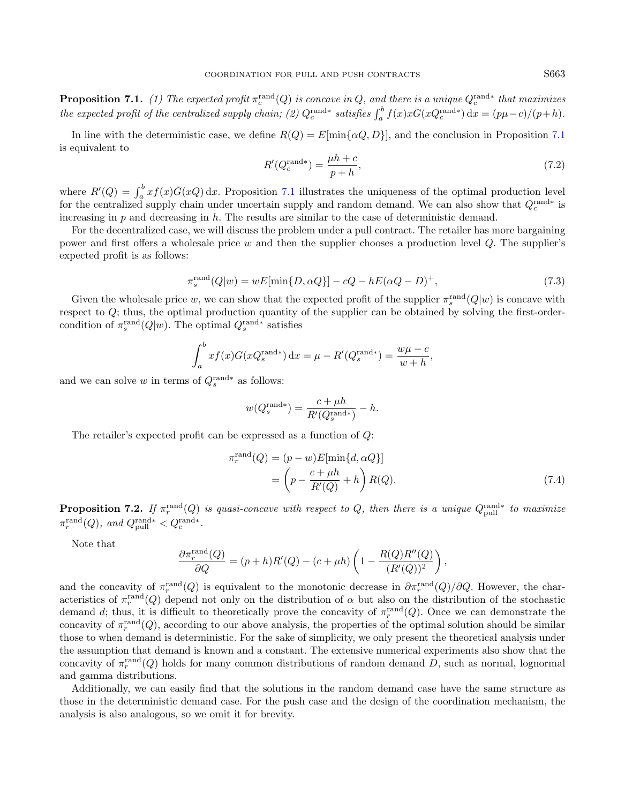**Proposition 7.1.** (1) The expected profit  $\pi_c^{\text{rand}}(Q)$  is concave in Q, and there is a unique  $Q_c^{\text{rand}*}$  that maximizes the expected profit of the centralized supply chain; (2)  $Q_c^{\text{rand}*}$  satisfies  $\int_a^b f(x)xG(xQ_c^{\text{rand}*}) dx = (p\mu - c)/(p + h)$ .

In line with the deterministic case, we define  $R(Q) = E[\min{\{\alpha Q, D\}}]$ , and the conclusion in Proposition [7.1](#page-15-2) is equivalent to

$$
R'(Q_c^{\text{rand*}}) = \frac{\mu h + c}{p + h},\tag{7.2}
$$

where  $R'(Q) = \int_a^b x f(x) \bar{G}(xQ) dx$ . Proposition [7.1](#page-15-2) illustrates the uniqueness of the optimal production level for the centralized supply chain under uncertain supply and random demand. We can also show that  $Q_c^{\text{rand}*}$  is increasing in  $p$  and decreasing in  $h$ . The results are similar to the case of deterministic demand.

For the decentralized case, we will discuss the problem under a pull contract. The retailer has more bargaining power and first offers a wholesale price w and then the supplier chooses a production level  $Q$ . The supplier's expected profit is as follows:

$$
\pi_s^{\text{rand}}(Q|w) = wE[\min\{D, \alpha Q\}] - cQ - hE(\alpha Q - D)^+, \tag{7.3}
$$

Given the wholesale price w, we can show that the expected profit of the supplier  $\pi_s^{\text{rand}}(Q|w)$  is concave with respect to Q; thus, the optimal production quantity of the supplier can be obtained by solving the first-ordercondition of  $\pi_s^{\text{rand}}(Q|w)$ . The optimal  $Q_s^{\text{rand}*}$  satisfies

$$
\int_{a}^{b} x f(x) G(xQ_s^{\text{rand*}}) dx = \mu - R'(Q_s^{\text{rand*}}) = \frac{w\mu - c}{w + h},
$$

and we can solve w in terms of  $Q_s^{\text{rand}*}$  as follows:

$$
w(Q_s^{\text{rand*}}) = \frac{c + \mu h}{R'(Q_s^{\text{rand*}})} - h.
$$

The retailer's expected profit can be expressed as a function of Q:

$$
\pi_r^{\text{rand}}(Q) = (p - w)E[\min\{d, \alpha Q\}]
$$

$$
= \left(p - \frac{c + \mu h}{R'(Q)} + h\right)R(Q).
$$
(7.4)

**Proposition 7.2.** If  $\pi_r^{\text{rand}}(Q)$  is quasi-concave with respect to Q, then there is a unique  $Q_{\text{pull}}^{\text{rand}*}$  to maximize  $\pi_r^{\text{rand}}(Q)$ , and  $Q_{\text{pull}}^{\text{rand}*} < Q_c^{\text{rand}*}$ .

Note that

$$
\frac{\partial \pi_r^{\text{rand}}(Q)}{\partial Q} = (p+h)R'(Q) - (c+\mu h)\left(1 - \frac{R(Q)R''(Q)}{(R'(Q))^2}\right),
$$

and the concavity of  $\pi_r^{\text{rand}}(Q)$  is equivalent to the monotonic decrease in  $\partial \pi_r^{\text{rand}}(Q)/\partial Q$ . However, the characteristics of  $\pi_r^{\text{rand}}(Q)$  depend not only on the distribution of  $\alpha$  but also on the distribution of the stochastic demand d; thus, it is difficult to theoretically prove the concavity of  $\pi_r^{\text{rand}}(Q)$ . Once we can demonstrate the concavity of  $\pi_r^{\text{rand}}(Q)$ , according to our above analysis, the properties of the optimal solution should be similar those to when demand is deterministic. For the sake of simplicity, we only present the theoretical analysis under the assumption that demand is known and a constant. The extensive numerical experiments also show that the concavity of  $\pi_r^{\text{rand}}(Q)$  holds for many common distributions of random demand D, such as normal, lognormal and gamma distributions.

Additionally, we can easily find that the solutions in the random demand case have the same structure as those in the deterministic demand case. For the push case and the design of the coordination mechanism, the analysis is also analogous, so we omit it for brevity.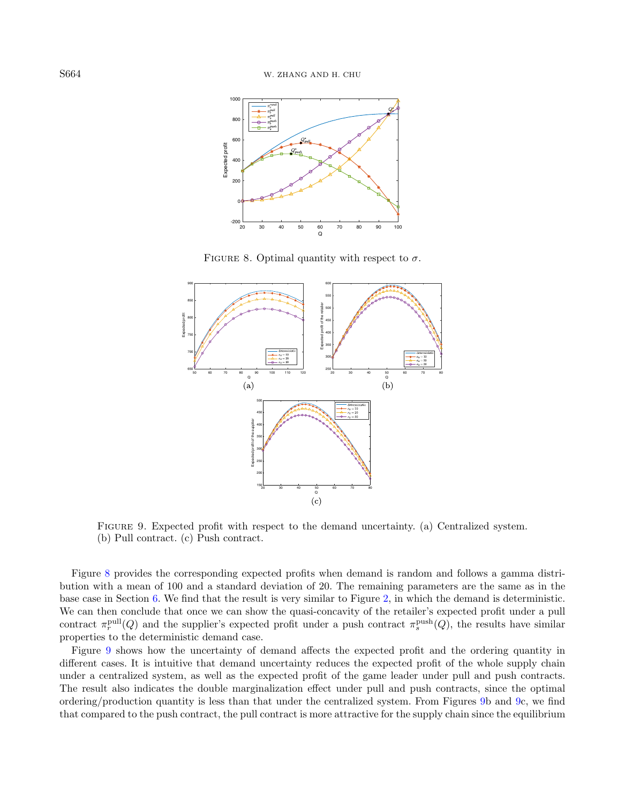<span id="page-17-0"></span>

FIGURE 8. Optimal quantity with respect to  $\sigma$ .

<span id="page-17-1"></span>

Figure 9. Expected profit with respect to the demand uncertainty. (a) Centralized system. (b) Pull contract. (c) Push contract.

Figure [8](#page-17-0) provides the corresponding expected profits when demand is random and follows a gamma distribution with a mean of 100 and a standard deviation of 20. The remaining parameters are the same as in the base case in Section [6.](#page-12-0) We find that the result is very similar to Figure [2,](#page-13-0) in which the demand is deterministic. We can then conclude that once we can show the quasi-concavity of the retailer's expected profit under a pull contract  $\pi_r^{\text{pull}}(Q)$  and the supplier's expected profit under a push contract  $\pi_s^{\text{push}}(Q)$ , the results have similar properties to the deterministic demand case.

Figure [9](#page-17-1) shows how the uncertainty of demand affects the expected profit and the ordering quantity in different cases. It is intuitive that demand uncertainty reduces the expected profit of the whole supply chain under a centralized system, as well as the expected profit of the game leader under pull and push contracts. The result also indicates the double marginalization effect under pull and push contracts, since the optimal ordering/production quantity is less than that under the centralized system. From Figures [9b](#page-17-1) and [9c](#page-17-1), we find that compared to the push contract, the pull contract is more attractive for the supply chain since the equilibrium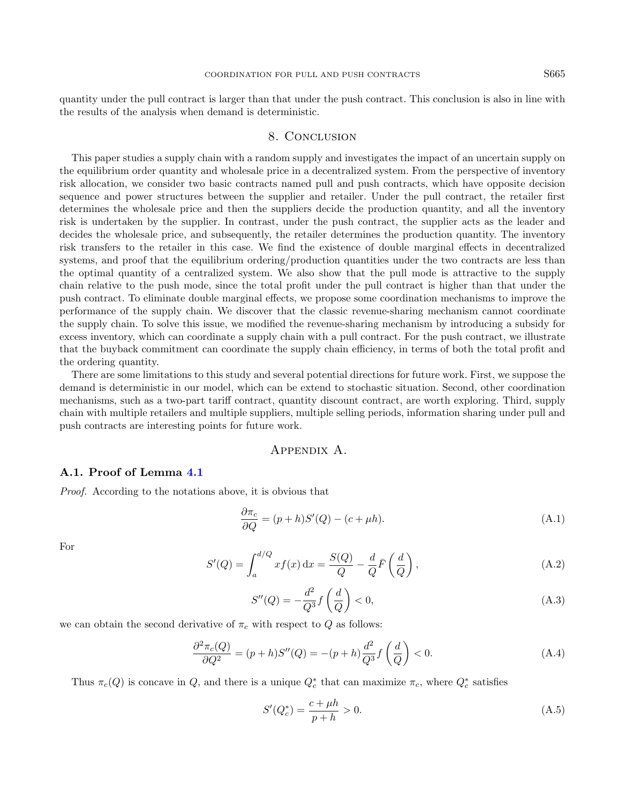quantity under the pull contract is larger than that under the push contract. This conclusion is also in line with the results of the analysis when demand is deterministic.

## 8. Conclusion

<span id="page-18-0"></span>This paper studies a supply chain with a random supply and investigates the impact of an uncertain supply on the equilibrium order quantity and wholesale price in a decentralized system. From the perspective of inventory risk allocation, we consider two basic contracts named pull and push contracts, which have opposite decision sequence and power structures between the supplier and retailer. Under the pull contract, the retailer first determines the wholesale price and then the suppliers decide the production quantity, and all the inventory risk is undertaken by the supplier. In contrast, under the push contract, the supplier acts as the leader and decides the wholesale price, and subsequently, the retailer determines the production quantity. The inventory risk transfers to the retailer in this case. We find the existence of double marginal effects in decentralized systems, and proof that the equilibrium ordering/production quantities under the two contracts are less than the optimal quantity of a centralized system. We also show that the pull mode is attractive to the supply chain relative to the push mode, since the total profit under the pull contract is higher than that under the push contract. To eliminate double marginal effects, we propose some coordination mechanisms to improve the performance of the supply chain. We discover that the classic revenue-sharing mechanism cannot coordinate the supply chain. To solve this issue, we modified the revenue-sharing mechanism by introducing a subsidy for excess inventory, which can coordinate a supply chain with a pull contract. For the push contract, we illustrate that the buyback commitment can coordinate the supply chain efficiency, in terms of both the total profit and the ordering quantity.

<span id="page-18-2"></span>There are some limitations to this study and several potential directions for future work. First, we suppose the demand is deterministic in our model, which can be extend to stochastic situation. Second, other coordination mechanisms, such as a two-part tariff contract, quantity discount contract, are worth exploring. Third, supply chain with multiple retailers and multiple suppliers, multiple selling periods, information sharing under pull and push contracts are interesting points for future work.

# Appendix A.

## <span id="page-18-1"></span>A.1. Proof of Lemma [4.1](#page-5-1)

Proof. According to the notations above, it is obvious that

$$
\frac{\partial \pi_c}{\partial Q} = (p + h)S'(Q) - (c + \mu h). \tag{A.1}
$$

For

$$
S'(Q) = \int_{a}^{d/Q} x f(x) dx = \frac{S(Q)}{Q} - \frac{d}{Q} \bar{F}\left(\frac{d}{Q}\right), \tag{A.2}
$$

$$
S''(Q) = -\frac{d^2}{Q^3} f\left(\frac{d}{Q}\right) < 0,\tag{A.3}
$$

we can obtain the second derivative of  $\pi_c$  with respect to Q as follows:

$$
\frac{\partial^2 \pi_c(Q)}{\partial Q^2} = (p+h)S''(Q) = -(p+h)\frac{d^2}{Q^3}f\left(\frac{d}{Q}\right) < 0. \tag{A.4}
$$

Thus  $\pi_c(Q)$  is concave in Q, and there is a unique  $Q_c^*$  that can maximize  $\pi_c$ , where  $Q_c^*$  satisfies

$$
S'(Q_c^*) = \frac{c + \mu h}{p + h} > 0.
$$
\n(A.5)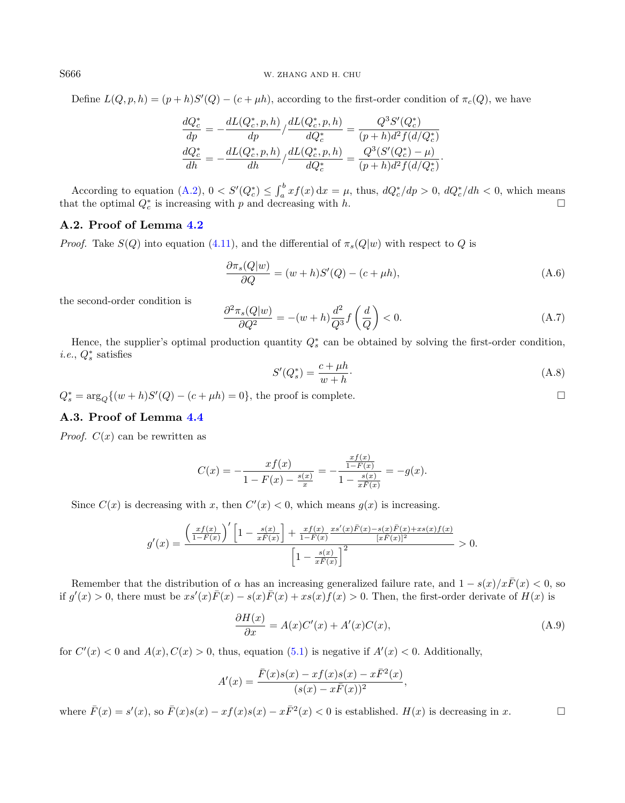Define  $L(Q, p, h) = (p + h)S'(Q) - (c + \mu h)$ , according to the first-order condition of  $\pi_c(Q)$ , we have

$$
\frac{dQ_c^*}{dp} = -\frac{dL(Q_c^*, p, h)}{dp} / \frac{dL(Q_c^*, p, h)}{dQ_c^*} = \frac{Q^3 S'(Q_c^*)}{(p + h)d^2 f(d/Q_c^*)} \n\frac{dQ_c^*}{dh} = -\frac{dL(Q_c^*, p, h)}{dh} / \frac{dL(Q_c^*, p, h)}{dQ_c^*} = \frac{Q^3 (S'(Q_c^*) - \mu)}{(p + h)d^2 f(d/Q_c^*)}.
$$

According to equation  $(A.2)$ ,  $0 < S'(Q_c^*) \leq \int_a^b xf(x) dx = \mu$ , thus,  $dQ_c^*/dp > 0$ ,  $dQ_c^*/dh < 0$ , which means that the optimal  $Q_c^*$  is increasing with p and decreasing with h.

## A.2. Proof of Lemma [4.2](#page-6-0)

*Proof.* Take  $S(Q)$  into equation [\(4.11\)](#page-7-3), and the differential of  $\pi_s(Q|w)$  with respect to Q is

$$
\frac{\partial \pi_s(Q|w)}{\partial Q} = (w+h)S'(Q) - (c+\mu h),\tag{A.6}
$$

the second-order condition is

$$
\frac{\partial^2 \pi_s(Q|w)}{\partial Q^2} = -(w+h)\frac{d^2}{Q^3}f\left(\frac{d}{Q}\right) < 0. \tag{A.7}
$$

Hence, the supplier's optimal production quantity  $Q_s^*$  can be obtained by solving the first-order condition, *i.e.*,  $Q_s^*$  satisfies

$$
S'(Q_s^*) = \frac{c + \mu h}{w + h}.\tag{A.8}
$$

 $Q_s^* = \arg_Q \{(w+h)S'(Q) - (c+\mu h) = 0\}$ , the proof is complete.

# A.3. Proof of Lemma [4.4](#page-7-1)

*Proof.*  $C(x)$  can be rewritten as

$$
C(x) = -\frac{xf(x)}{1 - F(x) - \frac{s(x)}{x}} = -\frac{\frac{xf(x)}{1 - F(x)}}{1 - \frac{s(x)}{x\bar{F}(x)}} = -g(x).
$$

Since  $C(x)$  is decreasing with x, then  $C'(x) < 0$ , which means  $g(x)$  is increasing.

$$
g'(x) = \frac{\left(\frac{xf(x)}{1-F(x)}\right)' \left[1 - \frac{s(x)}{xF(x)}\right] + \frac{xf(x)}{1-F(x)} \frac{xs'(x)\bar{F}(x) - s(x)\bar{F}(x) + xs(x)f(x)}{[x\bar{F}(x)]^2} > 0. \frac{\left[1 - \frac{s(x)}{x\bar{F}(x)}\right]^2}{}
$$

Remember that the distribution of  $\alpha$  has an increasing generalized failure rate, and  $1 - s(x)/x\overline{F}(x) < 0$ , so if  $g'(x) > 0$ , there must be  $xs'(x)\overline{F}(x) - s(x)\overline{F}(x) + xs(x)\overline{f}(x) > 0$ . Then, the first-order derivate of  $H(x)$  is

$$
\frac{\partial H(x)}{\partial x} = A(x)C'(x) + A'(x)C(x),\tag{A.9}
$$

for  $C'(x) < 0$  and  $A(x)$ ,  $C(x) > 0$ , thus, equation [\(5.1\)](#page-9-4) is negative if  $A'(x) < 0$ . Additionally,

$$
A'(x) = \frac{\bar{F}(x)s(x) - xf(x)s(x) - x\bar{F}^{2}(x)}{(s(x) - x\bar{F}(x))^{2}},
$$

where  $\bar{F}(x) = s'(x)$ , so  $\bar{F}(x)s(x) - xf(x)s(x) - x\bar{F}^{2}(x) < 0$  is established.  $H(x)$  is decreasing in x.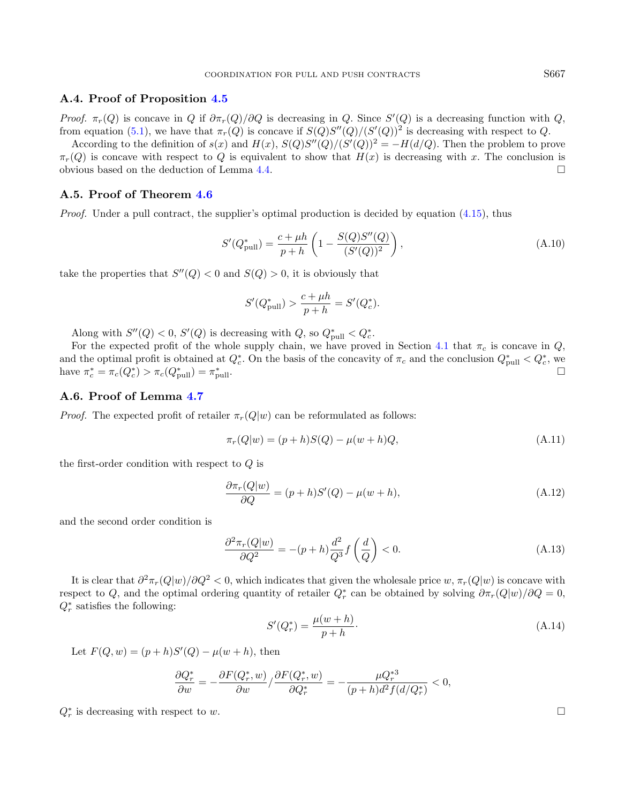## A.4. Proof of Proposition [4.5](#page-7-4)

Proof.  $\pi_r(Q)$  is concave in Q if  $\partial \pi_r(Q)/\partial Q$  is decreasing in Q. Since  $S'(Q)$  is a decreasing function with Q, from equation [\(5.1\)](#page-9-4), we have that  $\pi_r(Q)$  is concave if  $S(Q)S''(Q)/(S'(Q))^2$  is decreasing with respect to Q.

According to the definition of  $s(x)$  and  $H(x)$ ,  $S(Q)S''(Q)/(S'(Q))^2 = -H(d/Q)$ . Then the problem to prove  $\pi_r(Q)$  is concave with respect to Q is equivalent to show that  $H(x)$  is decreasing with x. The conclusion is obvious based on the deduction of Lemma [4.4.](#page-7-1)  $\Box$ 

## A.5. Proof of Theorem [4.6](#page-8-0)

*Proof.* Under a pull contract, the supplier's optimal production is decided by equation  $(4.15)$ , thus

$$
S'(Q_{\text{pull}}^*) = \frac{c + \mu h}{p + h} \left( 1 - \frac{S(Q)S''(Q)}{(S'(Q))^2} \right),\tag{A.10}
$$

take the properties that  $S''(Q) < 0$  and  $S(Q) > 0$ , it is obviously that

$$
S'(Q_{\text{pull}}^*) > \frac{c + \mu h}{p + h} = S'(Q_c^*).
$$

Along with  $S''(Q) < 0$ ,  $S'(Q)$  is decreasing with  $Q$ , so  $Q_{\text{pull}}^* < Q_c^*$ .

For the expected profit of the whole supply chain, we have proved in Section [4.1](#page-5-3) that  $\pi_c$  is concave in Q, and the optimal profit is obtained at  $Q_c^*$ . On the basis of the concavity of  $\pi_c$  and the conclusion  $Q_{\text{pull}}^* < Q_c^*$ , we have  $\pi_c^* = \pi_c(Q_c^*) > \pi_c(Q_{\text{pull}}^*) = \pi_p^*$ pull.

## A.6. Proof of Lemma [4.7](#page-8-2)

*Proof.* The expected profit of retailer  $\pi_r(Q|w)$  can be reformulated as follows:

$$
\pi_r(Q|w) = (p+h)S(Q) - \mu(w+h)Q,
$$
\n(A.11)

the first-order condition with respect to Q is

$$
\frac{\partial \pi_r(Q|w)}{\partial Q} = (p+h)S'(Q) - \mu(w+h),\tag{A.12}
$$

and the second order condition is

$$
\frac{\partial^2 \pi_r(Q|w)}{\partial Q^2} = -(p+h)\frac{d^2}{Q^3}f\left(\frac{d}{Q}\right) < 0. \tag{A.13}
$$

It is clear that  $\partial^2\pi_r(Q|w)/\partial Q^2 < 0$ , which indicates that given the wholesale price  $w, \pi_r(Q|w)$  is concave with respect to Q, and the optimal ordering quantity of retailer  $Q_r^*$  can be obtained by solving  $\partial \pi_r(Q|w)/\partial Q = 0$ ,  $Q_r^*$  satisfies the following:

$$
S'(Q_r^*) = \frac{\mu(w+h)}{p+h}.\tag{A.14}
$$

Let  $F(Q, w) = (p + h)S'(Q) - \mu(w + h)$ , then

$$
\frac{\partial Q^*_r}{\partial w}=-\frac{\partial F(Q^*_r,w)}{\partial w}/\frac{\partial F(Q^*_r,w)}{\partial Q^*_r}=-\frac{\mu Q^{*3}_r}{(p+h)d^2f(d/Q^*_r)}<0,
$$

 $Q_r^*$  is decreasing with respect to w.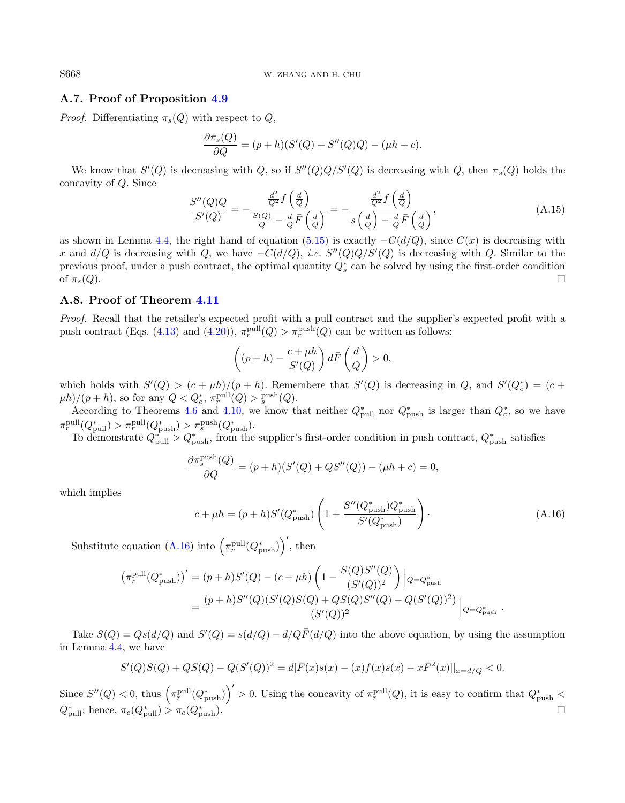# A.7. Proof of Proposition [4.9](#page-9-5)

*Proof.* Differentiating  $\pi_s(Q)$  with respect to Q,

$$
\frac{\partial \pi_s(Q)}{\partial Q} = (p+h)(S'(Q) + S''(Q)Q) - (\mu h + c).
$$

We know that  $S'(Q)$  is decreasing with Q, so if  $S''(Q)Q/S'(Q)$  is decreasing with Q, then  $\pi_s(Q)$  holds the concavity of Q. Since

$$
\frac{S''(Q)Q}{S'(Q)} = -\frac{\frac{d^2}{Q^2}f\left(\frac{d}{Q}\right)}{\frac{S(Q)}{Q} - \frac{d}{Q}\bar{F}\left(\frac{d}{Q}\right)} = -\frac{\frac{d^2}{Q^2}f\left(\frac{d}{Q}\right)}{s\left(\frac{d}{Q}\right) - \frac{d}{Q}\bar{F}\left(\frac{d}{Q}\right)},\tag{A.15}
$$

as shown in Lemma [4.4,](#page-7-1) the right hand of equation [\(5.15\)](#page-12-2) is exactly  $-C(d/Q)$ , since  $C(x)$  is decreasing with x and  $d/Q$  is decreasing with Q, we have  $-C(d/Q)$ , *i.e.*  $S''(Q)Q/S'(Q)$  is decreasing with Q. Similar to the previous proof, under a push contract, the optimal quantity  $Q_s^*$  can be solved by using the first-order condition of  $\pi_s(Q)$ .

## A.8. Proof of Theorem [4.11](#page-9-3)

<span id="page-21-0"></span>Proof. Recall that the retailer's expected profit with a pull contract and the supplier's expected profit with a push contract (Eqs. [\(4.13\)](#page-7-5) and [\(4.20\)](#page-9-6)),  $\pi_r^{\text{pull}}(Q) > \pi_r^{\text{push}}(Q)$  can be written as follows:

$$
\left((p+h)-\frac{c+\mu h}{S'(Q)}\right)d\bar{F}\left(\frac{d}{Q}\right)>0,
$$

which holds with  $S'(Q) > (c + \mu h)/(p + h)$ . Remembere that  $S'(Q)$  is decreasing in Q, and  $S'(Q_c^*) = (c +$  $(\mu h)/(p+h)$ , so for any  $Q < Q_c^*$ ,  $\pi_r^{\text{pull}}(Q) > \frac{\text{push}}{s}(Q)$ .

According to Theorems [4.6](#page-8-0) and [4.10,](#page-9-2) we know that neither  $Q_{\text{pull}}^*$  nor  $Q_{\text{push}}^*$  is larger than  $Q_c^*$ , so we have  $\pi_r^{\text{pull}}(Q_{\text{pull}}^*) > \pi_r^{\text{pull}}(Q_{\text{push}}^*) > \pi_s^{\text{push}}(Q_{\text{push}}^*)$ .

To demonstrate  $Q_{\text{pull}}^* > Q_{\text{push}}^*$ , from the supplier's first-order condition in push contract,  $Q_{\text{push}}^*$  satisfies

$$
\frac{\partial \pi_s^{\text{push}}(Q)}{\partial Q} = (p+h)(S'(Q) + QS''(Q)) - (\mu h + c) = 0,
$$

which implies

$$
c + \mu h = (p + h)S'(Q_{\text{push}}^*) \left( 1 + \frac{S''(Q_{\text{push}}^*)Q_{\text{push}}^*}{S'(Q_{\text{push}}^*)} \right). \tag{A.16}
$$

Substitute equation [\(A.16\)](#page-21-0) into  $(\pi_r^{\text{pull}}(Q_{\text{push}}^*))'$ , then

$$
(\pi_r^{\text{pull}}(Q_{\text{push}}^*))' = (p+h)S'(Q) - (c+\mu h)\left(1 - \frac{S(Q)S''(Q)}{(S'(Q))^2}\right)\Big|_{Q = Q_{\text{push}}^*}
$$

$$
= \frac{(p+h)S''(Q)(S'(Q)S(Q) + QS(Q)S''(Q) - Q(S'(Q))^2)}{(S'(Q))^2}\Big|_{Q = Q_{\text{push}}^*}.
$$

Take  $S(Q) = Qs(d/Q)$  and  $S'(Q) = s(d/Q) - d/Q\overline{F}(d/Q)$  into the above equation, by using the assumption in Lemma [4.4,](#page-7-1) we have

$$
S'(Q)S(Q) + QS(Q) - Q(S'(Q))^{2} = d[\bar{F}(x)s(x) - (x)f(x)s(x) - x\bar{F}^{2}(x)]|_{x=d/Q} < 0.
$$

Since  $S''(Q) < 0$ , thus  $(\pi_r^{\text{pull}}(Q_{\text{push}}^*))' > 0$ . Using the concavity of  $\pi_r^{\text{pull}}(Q)$ , it is easy to confirm that  $Q_{\text{push}}^* <$  $Q_{\text{pull}}^*$ ; hence,  $\pi_c(Q_{\text{pull}}^*) > \pi_c(Q_{\text{p}}^*)$  $_{\text{push}}^*$ ).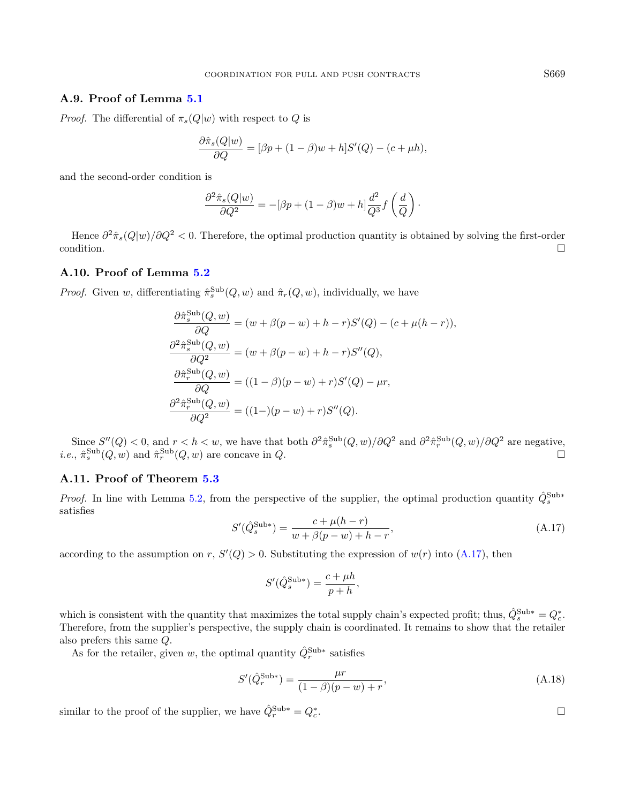# A.9. Proof of Lemma [5.1](#page-9-7)

*Proof.* The differential of  $\pi_s(Q|w)$  with respect to Q is

$$
\frac{\partial \hat{\pi}_s(Q|w)}{\partial Q} = [\beta p + (1 - \beta)w + h]S'(Q) - (c + \mu h),
$$

and the second-order condition is

$$
\frac{\partial^2 \hat{\pi}_s(Q|w)}{\partial Q^2} = -[\beta p + (1-\beta) w + h] \frac{d^2}{Q^3} f\left(\frac{d}{Q}\right).
$$

Hence  $\partial^2 \hat{\pi}_s(Q|w)/\partial Q^2 < 0$ . Therefore, the optimal production quantity is obtained by solving the first-order condition.

## A.10. Proof of Lemma [5.2](#page-10-0)

<span id="page-22-0"></span>*Proof.* Given w, differentiating  $\hat{\pi}_s^{\text{Sub}}(Q, w)$  and  $\hat{\pi}_r(Q, w)$ , individually, we have

$$
\frac{\partial \hat{\pi}_s^{\text{Sub}}(Q, w)}{\partial Q} = (w + \beta(p - w) + h - r)S'(Q) - (c + \mu(h - r)),
$$
  

$$
\frac{\partial^2 \hat{\pi}_s^{\text{Sub}}(Q, w)}{\partial Q^2} = (w + \beta(p - w) + h - r)S''(Q),
$$
  

$$
\frac{\partial \hat{\pi}_r^{\text{Sub}}(Q, w)}{\partial Q} = ((1 - \beta)(p - w) + r)S'(Q) - \mu r,
$$
  

$$
\frac{\partial^2 \hat{\pi}_r^{\text{Sub}}(Q, w)}{\partial Q^2} = ((1 -)(p - w) + r)S''(Q).
$$

Since  $S''(Q) < 0$ , and  $r < h < w$ , we have that both  $\partial^2 \hat{\pi}_s^{\text{Sub}}(Q, w) / \partial Q^2$  and  $\partial^2 \hat{\pi}_r^{\text{Sub}}(Q, w) / \partial Q^2$  are negative, *i.e.*,  $\hat{\pi}_s^{\text{Sub}}(Q, w)$  and  $\hat{\pi}_r^{\text{Sub}}(Q, w)$  are concave in Q.

#### A.11. Proof of Theorem [5.3](#page-11-0)

*Proof.* In line with Lemma [5.2,](#page-10-0) from the perspective of the supplier, the optimal production quantity  $\hat{Q}_{s}^{\text{Sub}*}$ satisfies

$$
S'(\hat{Q}_s^{\text{Sub*}}) = \frac{c + \mu(h - r)}{w + \beta(p - w) + h - r},\tag{A.17}
$$

according to the assumption on r,  $S'(Q) > 0$ . Substituting the expression of  $w(r)$  into [\(A.17\)](#page-22-0), then

$$
S'(\hat{Q}_s^{\text{Sub*}}) = \frac{c + \mu h}{p + h},
$$

which is consistent with the quantity that maximizes the total supply chain's expected profit; thus,  $\hat{Q}_{s}^{\text{Sub}*} = Q_{c}^{*}$ . Therefore, from the supplier's perspective, the supply chain is coordinated. It remains to show that the retailer also prefers this same Q.

As for the retailer, given w, the optimal quantity  $\hat{Q}_r^{\text{Sub}*}$  satisfies

$$
S'(\hat{Q}_r^{\text{Sub*}}) = \frac{\mu r}{(1-\beta)(p-w) + r},\tag{A.18}
$$

similar to the proof of the supplier, we have  $\hat{Q}_r^{\text{Sub}*} = Q_c^*$ 

.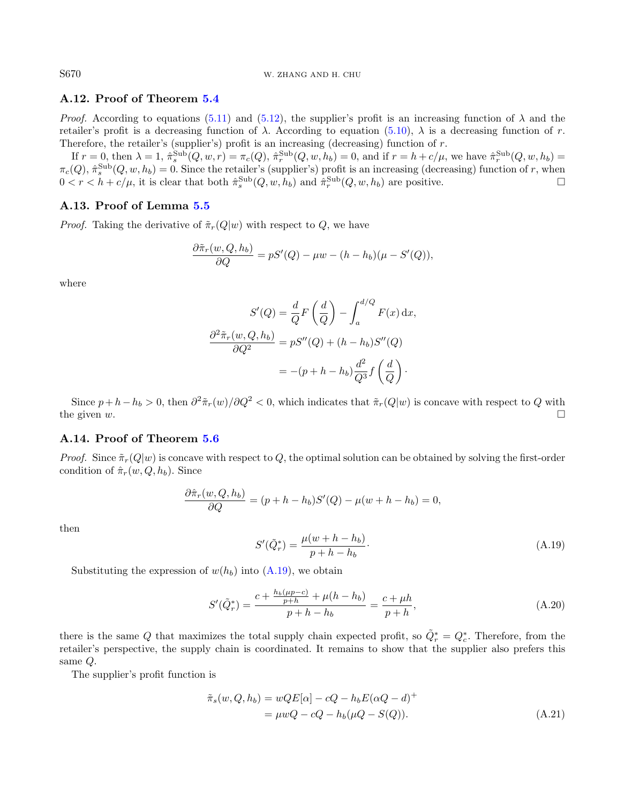# A.12. Proof of Theorem [5.4](#page-11-5)

*Proof.* According to equations [\(5.11\)](#page-11-6) and [\(5.12\)](#page-11-4), the supplier's profit is an increasing function of  $\lambda$  and the retailer's profit is a decreasing function of λ. According to equation [\(5.10\)](#page-11-7), λ is a decreasing function of r. Therefore, the retailer's (supplier's) profit is an increasing (decreasing) function of  $r$ .

If  $r = 0$ , then  $\lambda = 1$ ,  $\hat{\pi}_s^{\text{Sub}}(Q, w, r) = \pi_c(Q)$ ,  $\hat{\pi}_r^{\text{Sub}}(Q, w, h_b) = 0$ , and if  $r = h + c/\mu$ , we have  $\hat{\pi}_r^{\text{Sub}}(Q, w, h_b) = 0$  $\pi_c(Q), \hat{\pi}_s^{\text{Sub}}(Q, w, h_b) = 0.$  Since the retailer's (supplier's) profit is an increasing (decreasing) function of r, when  $0 < r < h + c/\mu$ , it is clear that both  $\hat{\pi}_s^{\text{Sub}}(Q, w, h_b)$  and  $\hat{\pi}_r^{\text{Sub}}(Q, w, h_b)$  are positive.

## A.13. Proof of Lemma [5.5](#page-11-8)

*Proof.* Taking the derivative of  $\tilde{\pi}_r(Q|w)$  with respect to Q, we have

$$
\frac{\partial \tilde{\pi}_r(w, Q, h_b)}{\partial Q} = pS'(Q) - \mu w - (h - h_b)(\mu - S'(Q)),
$$

where

$$
S'(Q) = \frac{d}{Q}F\left(\frac{d}{Q}\right) - \int_{a}^{d/Q} F(x) dx,
$$

$$
\frac{\partial^2 \tilde{\pi}_r(w, Q, h_b)}{\partial Q^2} = pS''(Q) + (h - h_b)S''(Q)
$$

$$
= -(p + h - h_b)\frac{d^2}{Q^3}f\left(\frac{d}{Q}\right).
$$

<span id="page-23-0"></span>Since  $p + h - h_b > 0$ , then  $\partial^2 \tilde{\pi}_r(w)/\partial Q^2 < 0$ , which indicates that  $\tilde{\pi}_r(Q|w)$  is concave with respect to Q with the given  $w$ .

## A.14. Proof of Theorem [5.6](#page-11-3)

*Proof.* Since  $\tilde{\pi}_r(Q|w)$  is concave with respect to Q, the optimal solution can be obtained by solving the first-order condition of  $\hat{\pi}_r(w, Q, h_b)$ . Since

$$
\frac{\partial \hat{\pi}_r(w, Q, h_b)}{\partial Q} = (p + h - h_b)S'(Q) - \mu(w + h - h_b) = 0,
$$

then

$$
S'(\tilde{Q}_r^*) = \frac{\mu(w + h - h_b)}{p + h - h_b}.
$$
\n(A.19)

Substituting the expression of  $w(h_b)$  into  $(A.19)$ , we obtain

$$
S'(\tilde{Q}_r^*) = \frac{c + \frac{h_b(\mu p - c)}{p + h} + \mu(h - h_b)}{p + h - h_b} = \frac{c + \mu h}{p + h},\tag{A.20}
$$

there is the same Q that maximizes the total supply chain expected profit, so  $\tilde{Q}_r^* = Q_c^*$ . Therefore, from the retailer's perspective, the supply chain is coordinated. It remains to show that the supplier also prefers this same Q.

The supplier's profit function is

$$
\tilde{\pi}_s(w, Q, h_b) = wQE[\alpha] - cQ - h_bE(\alpha Q - d)^+
$$
  
= 
$$
\mu wQ - cQ - h_b(\mu Q - S(Q)).
$$
 (A.21)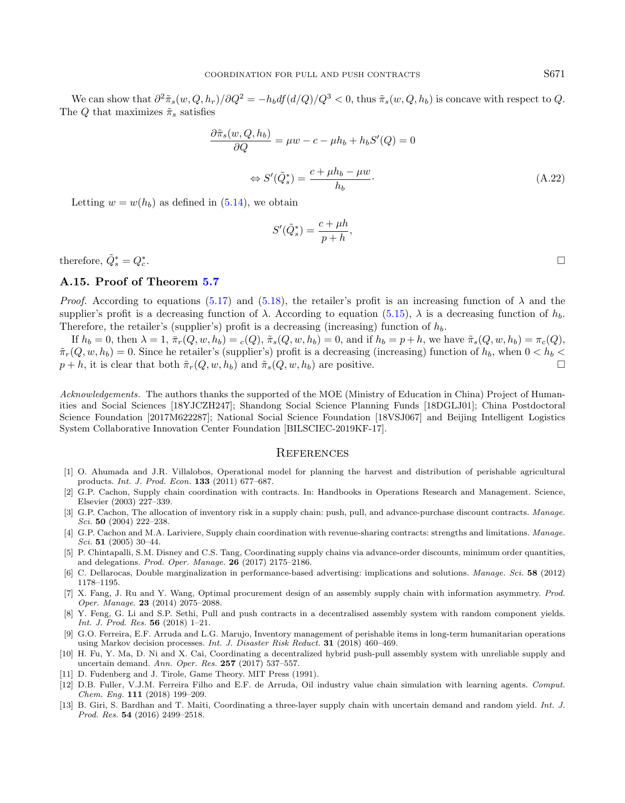We can show that  $\partial^2 \tilde{\pi}_s(w, Q, h_r)/\partial Q^2 = -h_b df(d/Q)/Q^3 < 0$ , thus  $\tilde{\pi}_s(w, Q, h_b)$  is concave with respect to  $Q$ . The Q that maximizes  $\tilde{\pi}_s$  satisfies

$$
\frac{\partial \tilde{\pi}_s(w, Q, h_b)}{\partial Q} = \mu w - c - \mu h_b + h_b S'(Q) = 0
$$
  

$$
\Leftrightarrow S'(\tilde{Q}_s^*) = \frac{c + \mu h_b - \mu w}{h_b}.
$$
(A.22)

Letting  $w = w(h_b)$  as defined in [\(5.14\)](#page-11-2), we obtain

$$
S'(\tilde{Q}_s^*) = \frac{c + \mu h}{p + h},
$$

therefore,  $\tilde{Q}_s^* = Q_c^*$ 

#### A.15. Proof of Theorem [5.7](#page-12-1)

*Proof.* According to equations [\(5.17\)](#page-12-3) and [\(5.18\)](#page-12-4), the retailer's profit is an increasing function of  $\lambda$  and the supplier's profit is a decreasing function of  $\lambda$ . According to equation [\(5.15\)](#page-12-2),  $\lambda$  is a decreasing function of  $h_h$ . Therefore, the retailer's (supplier's) profit is a decreasing (increasing) function of  $h_b$ .

<span id="page-24-3"></span><span id="page-24-1"></span><span id="page-24-0"></span>If  $h_b = 0$ , then  $\lambda = 1$ ,  $\bar{\pi}_r(Q, w, h_b) = c(Q)$ ,  $\tilde{\pi}_s(Q, w, h_b) = 0$ , and if  $h_b = p + h$ , we have  $\tilde{\pi}_s(Q, w, h_b) = \pi_c(Q)$ ,  $\tilde{\pi}_r(Q, w, h_b) = 0$ . Since he retailer's (supplier's) profit is a decreasing (increasing) function of  $h_b$ , when  $0 < h_b <$  $p + h$ , it is clear that both  $\tilde{\pi}_r(Q, w, h_b)$  and  $\tilde{\pi}_s(Q, w, h_b)$  are positive.

<span id="page-24-10"></span><span id="page-24-9"></span><span id="page-24-2"></span>Acknowledgements. The authors thanks the supported of the MOE (Ministry of Education in China) Project of Humanities and Social Sciences [18YJCZH247]; Shandong Social Science Planning Funds [18DGLJ01]; China Postdoctoral Science Foundation [2017M622287]; National Social Science Foundation [18VSJ067] and Beijing Intelligent Logistics System Collaborative Innovation Center Foundation [BILSCIEC-2019KF-17].

#### **REFERENCES**

- <span id="page-24-12"></span><span id="page-24-8"></span>[1] O. Ahumada and J.R. Villalobos, Operational model for planning the harvest and distribution of perishable agricultural products. Int. J. Prod. Econ. 133 (2011) 677–687.
- <span id="page-24-4"></span>[2] G.P. Cachon, Supply chain coordination with contracts. In: Handbooks in Operations Research and Management. Science, Elsevier (2003) 227–339.
- <span id="page-24-5"></span>[3] G.P. Cachon, The allocation of inventory risk in a supply chain: push, pull, and advance-purchase discount contracts. Manage. Sci. **50** (2004) 222-238.
- <span id="page-24-11"></span><span id="page-24-6"></span>[4] G.P. Cachon and M.A. Lariviere, Supply chain coordination with revenue-sharing contracts: strengths and limitations. Manage. Sci. 51 (2005) 30–44.
- <span id="page-24-7"></span>[5] P. Chintapalli, S.M. Disney and C.S. Tang, Coordinating supply chains via advance-order discounts, minimum order quantities, and delegations. Prod. Oper. Manage. 26 (2017) 2175–2186.
- [6] C. Dellarocas, Double marginalization in performance-based advertising: implications and solutions. Manage. Sci. 58 (2012) 1178–1195.
- [7] X. Fang, J. Ru and Y. Wang, Optimal procurement design of an assembly supply chain with information asymmetry. Prod. Oper. Manage. 23 (2014) 2075–2088.
- [8] Y. Feng, G. Li and S.P. Sethi, Pull and push contracts in a decentralised assembly system with random component yields. Int. J. Prod. Res. 56 (2018) 1–21.
- [9] G.O. Ferreira, E.F. Arruda and L.G. Marujo, Inventory management of perishable items in long-term humanitarian operations using Markov decision processes. Int. J. Disaster Risk Reduct. 31 (2018) 460–469.
- [10] H. Fu, Y. Ma, D. Ni and X. Cai, Coordinating a decentralized hybrid push-pull assembly system with unreliable supply and uncertain demand. Ann. Oper. Res. 257 (2017) 537–557.
- [11] D. Fudenberg and J. Tirole, Game Theory. MIT Press (1991).
- [12] D.B. Fuller, V.J.M. Ferreira Filho and E.F. de Arruda, Oil industry value chain simulation with learning agents. Comput. Chem. Eng. 111 (2018) 199–209.
- [13] B. Giri, S. Bardhan and T. Maiti, Coordinating a three-layer supply chain with uncertain demand and random yield. Int. J. Prod. Res. 54 (2016) 2499–2518.

. In the contract of the contract of the contract of the contract of the contract of the contract of the contract of